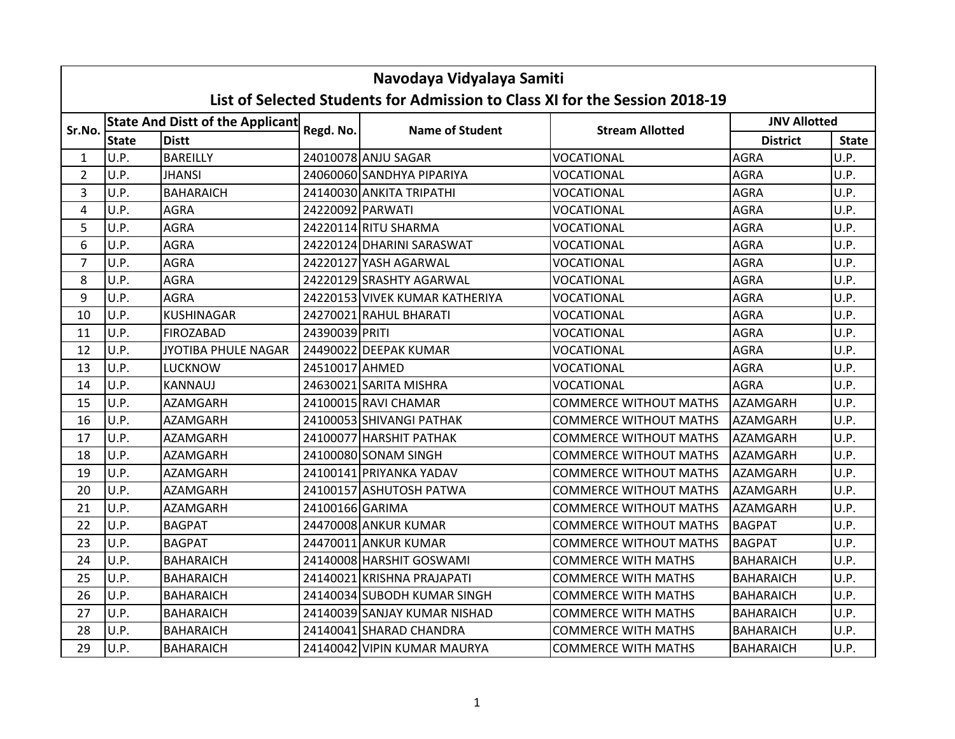|                         | Navodaya Vidyalaya Samiti<br>List of Selected Students for Admission to Class XI for the Session 2018-19 |                                  |                  |                                |                               |                     |              |  |  |  |
|-------------------------|----------------------------------------------------------------------------------------------------------|----------------------------------|------------------|--------------------------------|-------------------------------|---------------------|--------------|--|--|--|
|                         |                                                                                                          | State And Distt of the Applicant |                  |                                |                               | <b>JNV Allotted</b> |              |  |  |  |
| Sr.No.                  | <b>State</b>                                                                                             | <b>Distt</b>                     | Regd. No.        | <b>Name of Student</b>         | <b>Stream Allotted</b>        | <b>District</b>     | <b>State</b> |  |  |  |
| $\mathbf{1}$            | U.P.                                                                                                     | <b>BAREILLY</b>                  |                  | 24010078 ANJU SAGAR            | <b>VOCATIONAL</b>             | <b>AGRA</b>         | U.P.         |  |  |  |
| $\overline{2}$          | U.P.                                                                                                     | <b>JHANSI</b>                    |                  | 24060060 SANDHYA PIPARIYA      | VOCATIONAL                    | <b>AGRA</b>         | U.P.         |  |  |  |
| 3                       | U.P.                                                                                                     | <b>BAHARAICH</b>                 |                  | 24140030 ANKITA TRIPATHI       | VOCATIONAL                    | <b>AGRA</b>         | U.P.         |  |  |  |
| $\overline{\mathbf{4}}$ | U.P.                                                                                                     | <b>AGRA</b>                      | 24220092 PARWATI |                                | <b>VOCATIONAL</b>             | <b>AGRA</b>         | U.P.         |  |  |  |
| 5                       | U.P.                                                                                                     | <b>AGRA</b>                      |                  | 24220114 RITU SHARMA           | VOCATIONAL                    | <b>AGRA</b>         | U.P.         |  |  |  |
| 6                       | U.P.                                                                                                     | <b>AGRA</b>                      |                  | 24220124 DHARINI SARASWAT      | VOCATIONAL                    | <b>AGRA</b>         | U.P.         |  |  |  |
| $\overline{7}$          | U.P.                                                                                                     | <b>AGRA</b>                      |                  | 24220127 YASH AGARWAL          | VOCATIONAL                    | <b>AGRA</b>         | U.P.         |  |  |  |
| 8                       | U.P.                                                                                                     | <b>AGRA</b>                      |                  | 24220129 SRASHTY AGARWAL       | VOCATIONAL                    | <b>AGRA</b>         | U.P.         |  |  |  |
| 9                       | U.P.                                                                                                     | <b>AGRA</b>                      |                  | 24220153 VIVEK KUMAR KATHERIYA | <b>VOCATIONAL</b>             | <b>AGRA</b>         | U.P.         |  |  |  |
| 10                      | U.P.                                                                                                     | <b>KUSHINAGAR</b>                |                  | 24270021 RAHUL BHARATI         | VOCATIONAL                    | <b>AGRA</b>         | U.P.         |  |  |  |
| 11                      | U.P.                                                                                                     | <b>FIROZABAD</b>                 | 24390039 PRITI   |                                | VOCATIONAL                    | <b>AGRA</b>         | U.P.         |  |  |  |
| 12                      | U.P.                                                                                                     | JYOTIBA PHULE NAGAR              |                  | 24490022 DEEPAK KUMAR          | VOCATIONAL                    | <b>AGRA</b>         | U.P.         |  |  |  |
| 13                      | U.P.                                                                                                     | <b>LUCKNOW</b>                   | 24510017 AHMED   |                                | VOCATIONAL                    | <b>AGRA</b>         | U.P.         |  |  |  |
| 14                      | U.P.                                                                                                     | <b>KANNAUJ</b>                   |                  | 24630021 SARITA MISHRA         | VOCATIONAL                    | <b>AGRA</b>         | U.P.         |  |  |  |
| 15                      | U.P.                                                                                                     | <b>AZAMGARH</b>                  |                  | 24100015 RAVI CHAMAR           | <b>COMMERCE WITHOUT MATHS</b> | <b>AZAMGARH</b>     | U.P.         |  |  |  |
| 16                      | U.P.                                                                                                     | <b>AZAMGARH</b>                  |                  | 24100053 SHIVANGI PATHAK       | <b>COMMERCE WITHOUT MATHS</b> | <b>AZAMGARH</b>     | U.P.         |  |  |  |
| 17                      | U.P.                                                                                                     | AZAMGARH                         |                  | 24100077 HARSHIT PATHAK        | <b>COMMERCE WITHOUT MATHS</b> | AZAMGARH            | U.P.         |  |  |  |
| 18                      | U.P.                                                                                                     | <b>AZAMGARH</b>                  |                  | 24100080 SONAM SINGH           | <b>COMMERCE WITHOUT MATHS</b> | <b>AZAMGARH</b>     | U.P.         |  |  |  |
| 19                      | U.P.                                                                                                     | <b>AZAMGARH</b>                  |                  | 24100141 PRIYANKA YADAV        | <b>COMMERCE WITHOUT MATHS</b> | <b>AZAMGARH</b>     | U.P.         |  |  |  |
| 20                      | U.P.                                                                                                     | <b>AZAMGARH</b>                  |                  | 24100157 ASHUTOSH PATWA        | <b>COMMERCE WITHOUT MATHS</b> | <b>AZAMGARH</b>     | U.P.         |  |  |  |
| 21                      | U.P.                                                                                                     | <b>AZAMGARH</b>                  | 24100166 GARIMA  |                                | <b>COMMERCE WITHOUT MATHS</b> | <b>AZAMGARH</b>     | U.P.         |  |  |  |
| 22                      | U.P.                                                                                                     | <b>BAGPAT</b>                    |                  | 24470008 ANKUR KUMAR           | <b>COMMERCE WITHOUT MATHS</b> | <b>BAGPAT</b>       | U.P.         |  |  |  |
| 23                      | U.P.                                                                                                     | <b>BAGPAT</b>                    |                  | 24470011 ANKUR KUMAR           | <b>COMMERCE WITHOUT MATHS</b> | <b>BAGPAT</b>       | U.P.         |  |  |  |
| 24                      | U.P.                                                                                                     | <b>BAHARAICH</b>                 |                  | 24140008 HARSHIT GOSWAMI       | <b>COMMERCE WITH MATHS</b>    | <b>BAHARAICH</b>    | U.P.         |  |  |  |
| 25                      | U.P.                                                                                                     | <b>BAHARAICH</b>                 |                  | 24140021 KRISHNA PRAJAPATI     | <b>COMMERCE WITH MATHS</b>    | <b>BAHARAICH</b>    | U.P.         |  |  |  |
| 26                      | U.P.                                                                                                     | <b>BAHARAICH</b>                 |                  | 24140034 SUBODH KUMAR SINGH    | <b>COMMERCE WITH MATHS</b>    | <b>BAHARAICH</b>    | U.P.         |  |  |  |
| 27                      | U.P.                                                                                                     | <b>BAHARAICH</b>                 |                  | 24140039 SANJAY KUMAR NISHAD   | <b>COMMERCE WITH MATHS</b>    | <b>BAHARAICH</b>    | U.P.         |  |  |  |
| 28                      | U.P.                                                                                                     | <b>BAHARAICH</b>                 |                  | 24140041 SHARAD CHANDRA        | <b>COMMERCE WITH MATHS</b>    | <b>BAHARAICH</b>    | U.P.         |  |  |  |
| 29                      | U.P.                                                                                                     | <b>BAHARAICH</b>                 |                  | 24140042 VIPIN KUMAR MAURYA    | <b>COMMERCE WITH MATHS</b>    | <b>BAHARAICH</b>    | U.P.         |  |  |  |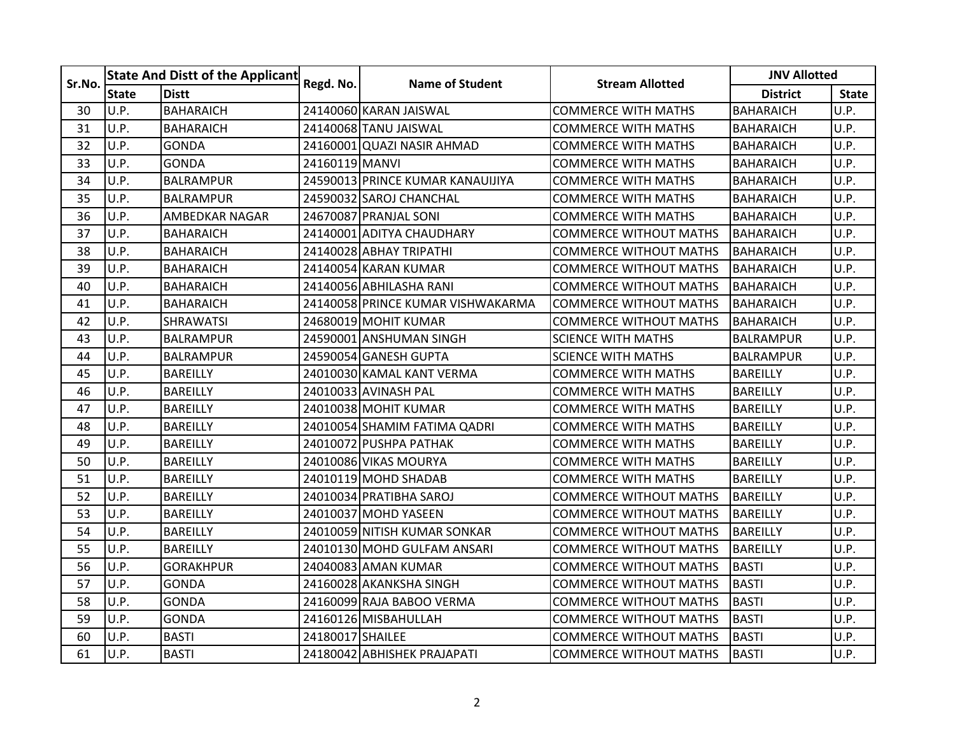| Sr.No. |              | State And Distt of the Applicant | Regd. No.        | <b>Name of Student</b>            | <b>Stream Allotted</b>        | <b>JNV Allotted</b> |              |
|--------|--------------|----------------------------------|------------------|-----------------------------------|-------------------------------|---------------------|--------------|
|        | <b>State</b> | <b>Distt</b>                     |                  |                                   |                               | <b>District</b>     | <b>State</b> |
| 30     | U.P.         | <b>BAHARAICH</b>                 |                  | 24140060 KARAN JAISWAL            | <b>COMMERCE WITH MATHS</b>    | <b>BAHARAICH</b>    | U.P.         |
| 31     | U.P.         | <b>BAHARAICH</b>                 |                  | 24140068 TANU JAISWAL             | <b>COMMERCE WITH MATHS</b>    | <b>BAHARAICH</b>    | U.P.         |
| 32     | U.P.         | <b>GONDA</b>                     |                  | 24160001 QUAZI NASIR AHMAD        | <b>COMMERCE WITH MATHS</b>    | <b>BAHARAICH</b>    | U.P.         |
| 33     | U.P.         | <b>GONDA</b>                     | 24160119 MANVI   |                                   | <b>COMMERCE WITH MATHS</b>    | <b>BAHARAICH</b>    | U.P.         |
| 34     | U.P.         | <b>BALRAMPUR</b>                 |                  | 24590013 PRINCE KUMAR KANAUIJIYA  | <b>COMMERCE WITH MATHS</b>    | <b>BAHARAICH</b>    | U.P.         |
| 35     | U.P.         | <b>BALRAMPUR</b>                 |                  | 24590032 SAROJ CHANCHAL           | <b>COMMERCE WITH MATHS</b>    | <b>BAHARAICH</b>    | U.P.         |
| 36     | U.P.         | <b>AMBEDKAR NAGAR</b>            |                  | 24670087 PRANJAL SONI             | <b>COMMERCE WITH MATHS</b>    | <b>BAHARAICH</b>    | U.P.         |
| 37     | U.P.         | <b>BAHARAICH</b>                 |                  | 24140001 ADITYA CHAUDHARY         | <b>COMMERCE WITHOUT MATHS</b> | <b>BAHARAICH</b>    | U.P.         |
| 38     | U.P.         | <b>BAHARAICH</b>                 |                  | 24140028 ABHAY TRIPATHI           | <b>COMMERCE WITHOUT MATHS</b> | <b>BAHARAICH</b>    | U.P.         |
| 39     | U.P.         | <b>BAHARAICH</b>                 |                  | 24140054 KARAN KUMAR              | <b>COMMERCE WITHOUT MATHS</b> | <b>BAHARAICH</b>    | U.P.         |
| 40     | U.P.         | <b>BAHARAICH</b>                 |                  | 24140056 ABHILASHA RANI           | <b>COMMERCE WITHOUT MATHS</b> | <b>BAHARAICH</b>    | U.P.         |
| 41     | U.P.         | <b>BAHARAICH</b>                 |                  | 24140058 PRINCE KUMAR VISHWAKARMA | <b>COMMERCE WITHOUT MATHS</b> | <b>BAHARAICH</b>    | U.P.         |
| 42     | U.P.         | <b>SHRAWATSI</b>                 |                  | 24680019 MOHIT KUMAR              | <b>COMMERCE WITHOUT MATHS</b> | <b>BAHARAICH</b>    | U.P.         |
| 43     | U.P.         | <b>BALRAMPUR</b>                 |                  | 24590001 ANSHUMAN SINGH           | <b>SCIENCE WITH MATHS</b>     | <b>BALRAMPUR</b>    | U.P.         |
| 44     | U.P.         | <b>BALRAMPUR</b>                 |                  | 24590054 GANESH GUPTA             | <b>SCIENCE WITH MATHS</b>     | <b>BALRAMPUR</b>    | U.P.         |
| 45     | U.P.         | <b>BAREILLY</b>                  |                  | 24010030 KAMAL KANT VERMA         | <b>COMMERCE WITH MATHS</b>    | <b>BAREILLY</b>     | U.P.         |
| 46     | U.P.         | <b>BAREILLY</b>                  |                  | 24010033 AVINASH PAL              | <b>COMMERCE WITH MATHS</b>    | <b>BAREILLY</b>     | U.P.         |
| 47     | U.P.         | <b>BAREILLY</b>                  |                  | 24010038 MOHIT KUMAR              | COMMERCE WITH MATHS           | <b>BAREILLY</b>     | U.P.         |
| 48     | U.P.         | <b>BAREILLY</b>                  |                  | 24010054 SHAMIM FATIMA QADRI      | <b>COMMERCE WITH MATHS</b>    | <b>BAREILLY</b>     | U.P.         |
| 49     | U.P.         | <b>BAREILLY</b>                  |                  | 24010072 PUSHPA PATHAK            | <b>COMMERCE WITH MATHS</b>    | <b>BAREILLY</b>     | U.P.         |
| 50     | U.P.         | <b>BAREILLY</b>                  |                  | 24010086 VIKAS MOURYA             | <b>COMMERCE WITH MATHS</b>    | <b>BAREILLY</b>     | U.P.         |
| 51     | U.P.         | <b>BAREILLY</b>                  |                  | 24010119 MOHD SHADAB              | <b>COMMERCE WITH MATHS</b>    | <b>BAREILLY</b>     | U.P.         |
| 52     | U.P.         | <b>BAREILLY</b>                  |                  | 24010034 PRATIBHA SAROJ           | <b>COMMERCE WITHOUT MATHS</b> | <b>BAREILLY</b>     | U.P.         |
| 53     | U.P.         | <b>BAREILLY</b>                  |                  | 24010037 MOHD YASEEN              | <b>COMMERCE WITHOUT MATHS</b> | <b>BAREILLY</b>     | U.P.         |
| 54     | U.P.         | <b>BAREILLY</b>                  |                  | 24010059INITISH KUMAR SONKAR      | COMMERCE WITHOUT MATHS        | <b>BAREILLY</b>     | U.P.         |
| 55     | U.P.         | <b>BAREILLY</b>                  |                  | 24010130 MOHD GULFAM ANSARI       | <b>COMMERCE WITHOUT MATHS</b> | <b>BAREILLY</b>     | U.P.         |
| 56     | U.P.         | <b>GORAKHPUR</b>                 |                  | 24040083 AMAN KUMAR               | <b>COMMERCE WITHOUT MATHS</b> | <b>BASTI</b>        | U.P.         |
| 57     | U.P.         | <b>GONDA</b>                     |                  | 24160028 AKANKSHA SINGH           | <b>COMMERCE WITHOUT MATHS</b> | <b>BASTI</b>        | U.P.         |
| 58     | U.P.         | <b>GONDA</b>                     |                  | 24160099 RAJA BABOO VERMA         | <b>COMMERCE WITHOUT MATHS</b> | <b>BASTI</b>        | U.P.         |
| 59     | U.P.         | <b>GONDA</b>                     |                  | 24160126 MISBAHULLAH              | <b>COMMERCE WITHOUT MATHS</b> | <b>BASTI</b>        | U.P.         |
| 60     | U.P.         | <b>BASTI</b>                     | 24180017 SHAILEE |                                   | <b>COMMERCE WITHOUT MATHS</b> | <b>BASTI</b>        | U.P.         |
| 61     | U.P.         | <b>BASTI</b>                     |                  | 24180042 ABHISHEK PRAJAPATI       | <b>COMMERCE WITHOUT MATHS</b> | <b>BASTI</b>        | U.P.         |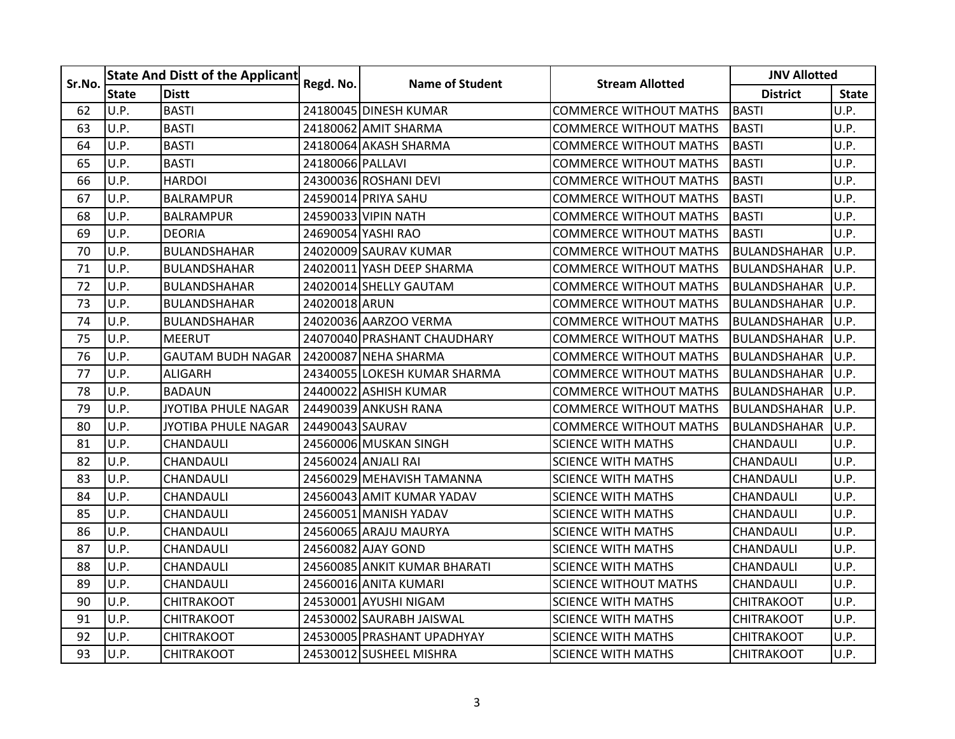| Sr.No. |              | <b>State And Distt of the Applicant</b> | Regd. No.        | <b>Name of Student</b>       | <b>Stream Allotted</b>        | <b>JNV Allotted</b> |              |
|--------|--------------|-----------------------------------------|------------------|------------------------------|-------------------------------|---------------------|--------------|
|        | <b>State</b> | <b>Distt</b>                            |                  |                              |                               | <b>District</b>     | <b>State</b> |
| 62     | U.P.         | <b>BASTI</b>                            |                  | 24180045 DINESH KUMAR        | <b>COMMERCE WITHOUT MATHS</b> | <b>BASTI</b>        | U.P.         |
| 63     | U.P.         | <b>BASTI</b>                            |                  | 24180062 AMIT SHARMA         | <b>COMMERCE WITHOUT MATHS</b> | <b>BASTI</b>        | U.P.         |
| 64     | U.P.         | <b>BASTI</b>                            |                  | 24180064 AKASH SHARMA        | <b>COMMERCE WITHOUT MATHS</b> | <b>BASTI</b>        | U.P.         |
| 65     | U.P.         | <b>BASTI</b>                            | 24180066 PALLAVI |                              | <b>COMMERCE WITHOUT MATHS</b> | <b>BASTI</b>        | U.P.         |
| 66     | U.P.         | <b>HARDOI</b>                           |                  | 24300036 ROSHANI DEVI        | <b>COMMERCE WITHOUT MATHS</b> | <b>BASTI</b>        | U.P.         |
| 67     | U.P.         | <b>BALRAMPUR</b>                        |                  | 24590014 PRIYA SAHU          | <b>COMMERCE WITHOUT MATHS</b> | <b>BASTI</b>        | U.P.         |
| 68     | U.P.         | <b>BALRAMPUR</b>                        |                  | 24590033 VIPIN NATH          | <b>COMMERCE WITHOUT MATHS</b> | <b>BASTI</b>        | U.P.         |
| 69     | U.P.         | <b>DEORIA</b>                           |                  | 24690054 YASHI RAO           | <b>COMMERCE WITHOUT MATHS</b> | <b>BASTI</b>        | U.P.         |
| 70     | U.P.         | <b>BULANDSHAHAR</b>                     |                  | 24020009 SAURAV KUMAR        | <b>COMMERCE WITHOUT MATHS</b> | <b>BULANDSHAHAR</b> | U.P.         |
| 71     | U.P.         | <b>BULANDSHAHAR</b>                     |                  | 24020011 YASH DEEP SHARMA    | <b>COMMERCE WITHOUT MATHS</b> | <b>BULANDSHAHAR</b> | U.P.         |
| 72     | U.P.         | <b>BULANDSHAHAR</b>                     |                  | 24020014 SHELLY GAUTAM       | <b>COMMERCE WITHOUT MATHS</b> | <b>BULANDSHAHAR</b> | U.P.         |
| 73     | U.P.         | <b>BULANDSHAHAR</b>                     | 24020018 ARUN    |                              | <b>COMMERCE WITHOUT MATHS</b> | <b>BULANDSHAHAR</b> | U.P.         |
| 74     | U.P.         | <b>BULANDSHAHAR</b>                     |                  | 24020036 AARZOO VERMA        | <b>COMMERCE WITHOUT MATHS</b> | <b>BULANDSHAHAR</b> | U.P.         |
| 75     | U.P.         | <b>MEERUT</b>                           |                  | 24070040 PRASHANT CHAUDHARY  | <b>COMMERCE WITHOUT MATHS</b> | BULANDSHAHAR        | U.P.         |
| 76     | U.P.         | <b>GAUTAM BUDH NAGAR</b>                |                  | 24200087 NEHA SHARMA         | <b>COMMERCE WITHOUT MATHS</b> | <b>BULANDSHAHAR</b> | U.P.         |
| 77     | U.P.         | <b>ALIGARH</b>                          |                  | 24340055 LOKESH KUMAR SHARMA | <b>COMMERCE WITHOUT MATHS</b> | <b>BULANDSHAHAR</b> | U.P.         |
| 78     | U.P.         | <b>BADAUN</b>                           |                  | 24400022 ASHISH KUMAR        | <b>COMMERCE WITHOUT MATHS</b> | <b>BULANDSHAHAR</b> | IU.P.        |
| 79     | U.P.         | JYOTIBA PHULE NAGAR                     |                  | 24490039 ANKUSH RANA         | <b>COMMERCE WITHOUT MATHS</b> | <b>BULANDSHAHAR</b> | U.P.         |
| 80     | U.P.         | JYOTIBA PHULE NAGAR                     | 24490043 SAURAV  |                              | <b>COMMERCE WITHOUT MATHS</b> | <b>BULANDSHAHAR</b> | U.P.         |
| 81     | U.P.         | CHANDAULI                               |                  | 24560006 MUSKAN SINGH        | <b>SCIENCE WITH MATHS</b>     | CHANDAULI           | U.P.         |
| 82     | U.P.         | CHANDAULI                               |                  | 24560024 ANJALI RAI          | <b>SCIENCE WITH MATHS</b>     | CHANDAULI           | U.P.         |
| 83     | U.P.         | CHANDAULI                               |                  | 24560029 MEHAVISH TAMANNA    | <b>SCIENCE WITH MATHS</b>     | CHANDAULI           | U.P.         |
| 84     | U.P.         | CHANDAULI                               |                  | 24560043 AMIT KUMAR YADAV    | <b>SCIENCE WITH MATHS</b>     | CHANDAULI           | U.P.         |
| 85     | U.P.         | CHANDAULI                               |                  | 24560051 MANISH YADAV        | <b>SCIENCE WITH MATHS</b>     | CHANDAULI           | U.P.         |
| 86     | U.P.         | CHANDAULI                               |                  | 24560065 ARAJU MAURYA        | <b>SCIENCE WITH MATHS</b>     | CHANDAULI           | U.P.         |
| 87     | U.P.         | CHANDAULI                               |                  | 24560082 AJAY GOND           | <b>SCIENCE WITH MATHS</b>     | CHANDAULI           | U.P.         |
| 88     | U.P.         | CHANDAULI                               |                  | 24560085 ANKIT KUMAR BHARATI | <b>SCIENCE WITH MATHS</b>     | CHANDAULI           | U.P.         |
| 89     | U.P.         | CHANDAULI                               |                  | 24560016 ANITA KUMARI        | <b>SCIENCE WITHOUT MATHS</b>  | CHANDAULI           | U.P.         |
| 90     | U.P.         | <b>CHITRAKOOT</b>                       |                  | 24530001 AYUSHI NIGAM        | <b>SCIENCE WITH MATHS</b>     | <b>CHITRAKOOT</b>   | U.P.         |
| 91     | U.P.         | <b>CHITRAKOOT</b>                       |                  | 24530002 SAURABH JAISWAL     | <b>SCIENCE WITH MATHS</b>     | <b>CHITRAKOOT</b>   | U.P.         |
| 92     | U.P.         | <b>CHITRAKOOT</b>                       |                  | 24530005 PRASHANT UPADHYAY   | <b>SCIENCE WITH MATHS</b>     | <b>CHITRAKOOT</b>   | U.P.         |
| 93     | U.P.         | <b>CHITRAKOOT</b>                       |                  | 24530012 SUSHEEL MISHRA      | <b>SCIENCE WITH MATHS</b>     | <b>CHITRAKOOT</b>   | U.P.         |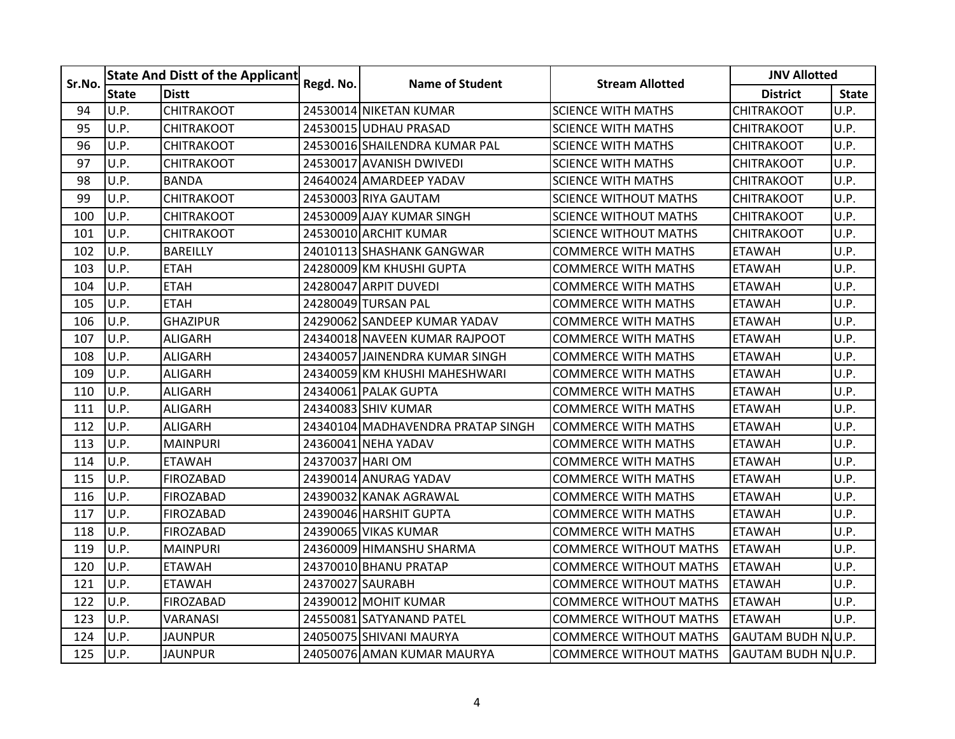| Sr.No. |              | <b>State And Distt of the Applicant</b> | Regd. No.        | <b>Name of Student</b>            | <b>Stream Allotted</b>        | <b>JNV Allotted</b>       |              |
|--------|--------------|-----------------------------------------|------------------|-----------------------------------|-------------------------------|---------------------------|--------------|
|        | <b>State</b> | <b>Distt</b>                            |                  |                                   |                               | <b>District</b>           | <b>State</b> |
| 94     | U.P.         | <b>CHITRAKOOT</b>                       |                  | 24530014 NIKETAN KUMAR            | <b>SCIENCE WITH MATHS</b>     | <b>CHITRAKOOT</b>         | U.P.         |
| 95     | U.P.         | <b>CHITRAKOOT</b>                       |                  | 24530015 UDHAU PRASAD             | <b>SCIENCE WITH MATHS</b>     | <b>CHITRAKOOT</b>         | U.P.         |
| 96     | U.P.         | <b>CHITRAKOOT</b>                       |                  | 24530016 SHAILENDRA KUMAR PAL     | <b>SCIENCE WITH MATHS</b>     | <b>CHITRAKOOT</b>         | U.P.         |
| 97     | U.P.         | <b>CHITRAKOOT</b>                       |                  | 24530017 AVANISH DWIVEDI          | <b>SCIENCE WITH MATHS</b>     | <b>CHITRAKOOT</b>         | U.P.         |
| 98     | U.P.         | <b>BANDA</b>                            |                  | 24640024 AMARDEEP YADAV           | <b>SCIENCE WITH MATHS</b>     | <b>CHITRAKOOT</b>         | U.P.         |
| 99     | U.P.         | <b>CHITRAKOOT</b>                       |                  | 24530003 RIYA GAUTAM              | <b>SCIENCE WITHOUT MATHS</b>  | <b>CHITRAKOOT</b>         | U.P.         |
| 100    | U.P.         | <b>CHITRAKOOT</b>                       |                  | 24530009 AJAY KUMAR SINGH         | SCIENCE WITHOUT MATHS         | <b>CHITRAKOOT</b>         | U.P.         |
| 101    | U.P.         | <b>CHITRAKOOT</b>                       |                  | 24530010 ARCHIT KUMAR             | <b>SCIENCE WITHOUT MATHS</b>  | <b>CHITRAKOOT</b>         | U.P.         |
| 102    | U.P.         | <b>BAREILLY</b>                         |                  | 24010113 SHASHANK GANGWAR         | <b>COMMERCE WITH MATHS</b>    | <b>ETAWAH</b>             | U.P.         |
| 103    | U.P.         | <b>ETAH</b>                             |                  | 24280009 KM KHUSHI GUPTA          | <b>COMMERCE WITH MATHS</b>    | <b>ETAWAH</b>             | U.P.         |
| 104    | U.P.         | <b>ETAH</b>                             |                  | 24280047 ARPIT DUVEDI             | <b>COMMERCE WITH MATHS</b>    | <b>ETAWAH</b>             | U.P.         |
| 105    | U.P.         | <b>ETAH</b>                             |                  | 24280049 TURSAN PAL               | COMMERCE WITH MATHS           | <b>ETAWAH</b>             | U.P.         |
| 106    | U.P.         | <b>GHAZIPUR</b>                         |                  | 24290062 SANDEEP KUMAR YADAV      | <b>COMMERCE WITH MATHS</b>    | <b>ETAWAH</b>             | U.P.         |
| 107    | U.P.         | <b>ALIGARH</b>                          |                  | 24340018 NAVEEN KUMAR RAJPOOT     | <b>COMMERCE WITH MATHS</b>    | <b>ETAWAH</b>             | U.P.         |
| 108    | U.P.         | <b>ALIGARH</b>                          |                  | 24340057 JAINENDRA KUMAR SINGH    | <b>COMMERCE WITH MATHS</b>    | <b>ETAWAH</b>             | U.P.         |
| 109    | U.P.         | <b>ALIGARH</b>                          |                  | 24340059 KM KHUSHI MAHESHWARI     | <b>COMMERCE WITH MATHS</b>    | <b>ETAWAH</b>             | U.P.         |
| 110    | U.P.         | <b>ALIGARH</b>                          |                  | 24340061 PALAK GUPTA              | <b>COMMERCE WITH MATHS</b>    | <b>ETAWAH</b>             | U.P.         |
| 111    | U.P.         | <b>ALIGARH</b>                          |                  | 24340083 SHIV KUMAR               | <b>COMMERCE WITH MATHS</b>    | <b>ETAWAH</b>             | U.P.         |
| 112    | U.P.         | <b>ALIGARH</b>                          |                  | 24340104 MADHAVENDRA PRATAP SINGH | COMMERCE WITH MATHS           | <b>ETAWAH</b>             | U.P.         |
| 113    | U.P.         | <b>MAINPURI</b>                         |                  | 24360041 NEHA YADAV               | <b>COMMERCE WITH MATHS</b>    | <b>ETAWAH</b>             | U.P.         |
| 114    | U.P.         | <b>ETAWAH</b>                           | 24370037 HARIOM  |                                   | <b>COMMERCE WITH MATHS</b>    | <b>ETAWAH</b>             | U.P.         |
| 115    | U.P.         | <b>FIROZABAD</b>                        |                  | 24390014 ANURAG YADAV             | <b>COMMERCE WITH MATHS</b>    | <b>ETAWAH</b>             | U.P.         |
| 116    | U.P.         | <b>FIROZABAD</b>                        |                  | 24390032 KANAK AGRAWAL            | <b>COMMERCE WITH MATHS</b>    | <b>ETAWAH</b>             | U.P.         |
| 117    | U.P.         | FIROZABAD                               |                  | 24390046 HARSHIT GUPTA            | COMMERCE WITH MATHS           | <b>ETAWAH</b>             | U.P.         |
| 118    | U.P.         | <b>FIROZABAD</b>                        |                  | 24390065 VIKAS KUMAR              | <b>COMMERCE WITH MATHS</b>    | <b>ETAWAH</b>             | U.P.         |
| 119    | U.P.         | <b>MAINPURI</b>                         |                  | 24360009 HIMANSHU SHARMA          | <b>COMMERCE WITHOUT MATHS</b> | <b>ETAWAH</b>             | U.P.         |
| 120    | U.P.         | <b>ETAWAH</b>                           |                  | 24370010 BHANU PRATAP             | <b>COMMERCE WITHOUT MATHS</b> | <b>ETAWAH</b>             | U.P.         |
| 121    | U.P.         | <b>ETAWAH</b>                           | 24370027 SAURABH |                                   | <b>COMMERCE WITHOUT MATHS</b> | <b>ETAWAH</b>             | U.P.         |
| 122    | U.P.         | <b>FIROZABAD</b>                        |                  | 24390012 MOHIT KUMAR              | COMMERCE WITHOUT MATHS        | <b>ETAWAH</b>             | U.P.         |
| 123    | U.P.         | VARANASI                                |                  | 24550081 SATYANAND PATEL          | <b>COMMERCE WITHOUT MATHS</b> | <b>ETAWAH</b>             | U.P.         |
| 124    | U.P.         | <b>JAUNPUR</b>                          |                  | 24050075 SHIVANI MAURYA           | <b>COMMERCE WITHOUT MATHS</b> | <b>GAUTAM BUDH NJU.P.</b> |              |
| 125    | U.P.         | <b>JAUNPUR</b>                          |                  | 24050076 AMAN KUMAR MAURYA        | <b>COMMERCE WITHOUT MATHS</b> | <b>GAUTAM BUDH NJU.P.</b> |              |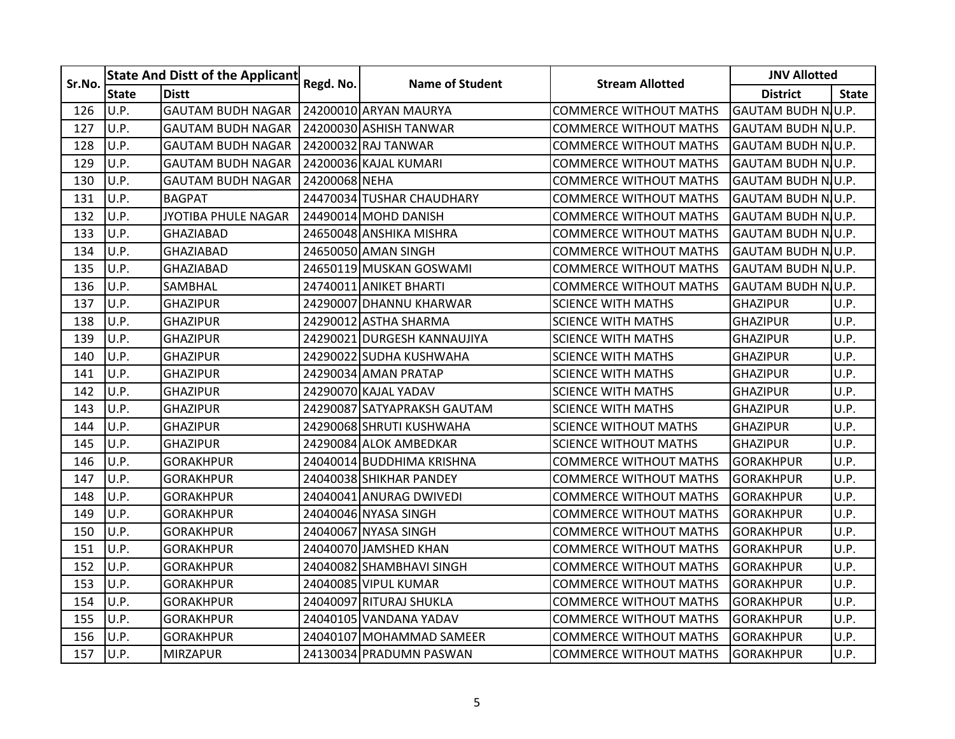| Sr.No. |              | <b>State And Distt of the Applicant</b> | Regd. No.     | <b>Name of Student</b>      | <b>Stream Allotted</b>        | <b>JNV Allotted</b>       |              |  |
|--------|--------------|-----------------------------------------|---------------|-----------------------------|-------------------------------|---------------------------|--------------|--|
|        | <b>State</b> | <b>Distt</b>                            |               |                             |                               | <b>District</b>           | <b>State</b> |  |
| 126    | U.P.         | <b>GAUTAM BUDH NAGAR</b>                |               | 24200010 ARYAN MAURYA       | <b>COMMERCE WITHOUT MATHS</b> | <b>GAUTAM BUDH NU.P.</b>  |              |  |
| 127    | U.P.         | <b>GAUTAM BUDH NAGAR</b>                |               | 24200030 ASHISH TANWAR      | <b>COMMERCE WITHOUT MATHS</b> | GAUTAM BUDH NU.P.         |              |  |
| 128    | U.P.         | <b>GAUTAM BUDH NAGAR</b>                |               | 24200032 RAJ TANWAR         | <b>COMMERCE WITHOUT MATHS</b> | GAUTAM BUDH NU.P.         |              |  |
| 129    | U.P.         | <b>GAUTAM BUDH NAGAR</b>                |               | 24200036 KAJAL KUMARI       | <b>COMMERCE WITHOUT MATHS</b> | GAUTAM BUDH N.U.P.        |              |  |
| 130    | U.P.         | <b>GAUTAM BUDH NAGAR</b>                | 24200068 NEHA |                             | <b>COMMERCE WITHOUT MATHS</b> | <b>GAUTAM BUDH NJU.P.</b> |              |  |
| 131    | U.P.         | <b>BAGPAT</b>                           |               | 24470034 TUSHAR CHAUDHARY   | <b>COMMERCE WITHOUT MATHS</b> | GAUTAM BUDH N.U.P.        |              |  |
| 132    | U.P.         | JYOTIBA PHULE NAGAR                     |               | 24490014 MOHD DANISH        | <b>COMMERCE WITHOUT MATHS</b> | <b>GAUTAM BUDH NU.P.</b>  |              |  |
| 133    | U.P.         | <b>GHAZIABAD</b>                        |               | 24650048 ANSHIKA MISHRA     | <b>COMMERCE WITHOUT MATHS</b> | <b>GAUTAM BUDH NJU.P.</b> |              |  |
| 134    | U.P.         | <b>GHAZIABAD</b>                        |               | 24650050 AMAN SINGH         | <b>COMMERCE WITHOUT MATHS</b> | GAUTAM BUDH NJU.P.        |              |  |
| 135    | U.P.         | <b>GHAZIABAD</b>                        |               | 24650119 MUSKAN GOSWAMI     | <b>COMMERCE WITHOUT MATHS</b> | <b>GAUTAM BUDH N.U.P.</b> |              |  |
| 136    | U.P.         | SAMBHAL                                 |               | 24740011 ANIKET BHARTI      | <b>COMMERCE WITHOUT MATHS</b> | <b>GAUTAM BUDH NJU.P.</b> |              |  |
| 137    | U.P.         | <b>GHAZIPUR</b>                         |               | 24290007 DHANNU KHARWAR     | <b>SCIENCE WITH MATHS</b>     | <b>GHAZIPUR</b>           | U.P.         |  |
| 138    | U.P.         | <b>GHAZIPUR</b>                         |               | 24290012 ASTHA SHARMA       | <b>SCIENCE WITH MATHS</b>     | <b>GHAZIPUR</b>           | U.P.         |  |
| 139    | U.P.         | <b>GHAZIPUR</b>                         |               | 24290021 DURGESH KANNAUJIYA | <b>SCIENCE WITH MATHS</b>     | <b>GHAZIPUR</b>           | U.P.         |  |
| 140    | U.P.         | <b>GHAZIPUR</b>                         |               | 24290022 SUDHA KUSHWAHA     | <b>SCIENCE WITH MATHS</b>     | <b>GHAZIPUR</b>           | U.P.         |  |
| 141    | U.P.         | <b>GHAZIPUR</b>                         |               | 24290034 AMAN PRATAP        | <b>SCIENCE WITH MATHS</b>     | <b>GHAZIPUR</b>           | U.P.         |  |
| 142    | U.P.         | <b>GHAZIPUR</b>                         |               | 24290070 KAJAL YADAV        | SCIENCE WITH MATHS            | <b>GHAZIPUR</b>           | U.P.         |  |
| 143    | U.P.         | <b>GHAZIPUR</b>                         |               | 24290087 SATYAPRAKSH GAUTAM | <b>SCIENCE WITH MATHS</b>     | <b>GHAZIPUR</b>           | U.P.         |  |
| 144    | U.P.         | <b>GHAZIPUR</b>                         |               | 24290068 SHRUTI KUSHWAHA    | <b>SCIENCE WITHOUT MATHS</b>  | <b>GHAZIPUR</b>           | U.P.         |  |
| 145    | U.P.         | <b>GHAZIPUR</b>                         |               | 24290084 ALOK AMBEDKAR      | <b>SCIENCE WITHOUT MATHS</b>  | <b>GHAZIPUR</b>           | U.P.         |  |
| 146    | U.P.         | <b>GORAKHPUR</b>                        |               | 24040014 BUDDHIMA KRISHNA   | <b>COMMERCE WITHOUT MATHS</b> | <b>GORAKHPUR</b>          | U.P.         |  |
| 147    | U.P.         | <b>GORAKHPUR</b>                        |               | 24040038 SHIKHAR PANDEY     | <b>COMMERCE WITHOUT MATHS</b> | <b>GORAKHPUR</b>          | U.P.         |  |
| 148    | U.P.         | <b>GORAKHPUR</b>                        |               | 24040041 ANURAG DWIVEDI     | <b>COMMERCE WITHOUT MATHS</b> | <b>GORAKHPUR</b>          | U.P.         |  |
| 149    | U.P.         | <b>GORAKHPUR</b>                        |               | 24040046 NYASA SINGH        | <b>COMMERCE WITHOUT MATHS</b> | <b>GORAKHPUR</b>          | U.P.         |  |
| 150    | U.P.         | GORAKHPUR                               |               | 24040067 NYASA SINGH        | <b>COMMERCE WITHOUT MATHS</b> | <b>GORAKHPUR</b>          | U.P.         |  |
| 151    | U.P.         | <b>GORAKHPUR</b>                        |               | 24040070 JAMSHED KHAN       | <b>COMMERCE WITHOUT MATHS</b> | <b>GORAKHPUR</b>          | U.P.         |  |
| 152    | U.P.         | <b>GORAKHPUR</b>                        |               | 24040082 SHAMBHAVI SINGH    | <b>COMMERCE WITHOUT MATHS</b> | <b>GORAKHPUR</b>          | U.P.         |  |
| 153    | U.P.         | <b>GORAKHPUR</b>                        |               | 24040085 VIPUL KUMAR        | <b>COMMERCE WITHOUT MATHS</b> | <b>GORAKHPUR</b>          | U.P.         |  |
| 154    | U.P.         | <b>GORAKHPUR</b>                        |               | 24040097 RITURAJ SHUKLA     | <b>COMMERCE WITHOUT MATHS</b> | <b>GORAKHPUR</b>          | U.P.         |  |
| 155    | U.P.         | <b>GORAKHPUR</b>                        |               | 24040105 VANDANA YADAV      | <b>COMMERCE WITHOUT MATHS</b> | <b>GORAKHPUR</b>          | U.P.         |  |
| 156    | U.P.         | <b>GORAKHPUR</b>                        |               | 24040107 MOHAMMAD SAMEER    | <b>COMMERCE WITHOUT MATHS</b> | <b>GORAKHPUR</b>          | U.P.         |  |
| 157    | U.P.         | <b>MIRZAPUR</b>                         |               | 24130034 PRADUMN PASWAN     | <b>COMMERCE WITHOUT MATHS</b> | <b>GORAKHPUR</b>          | U.P.         |  |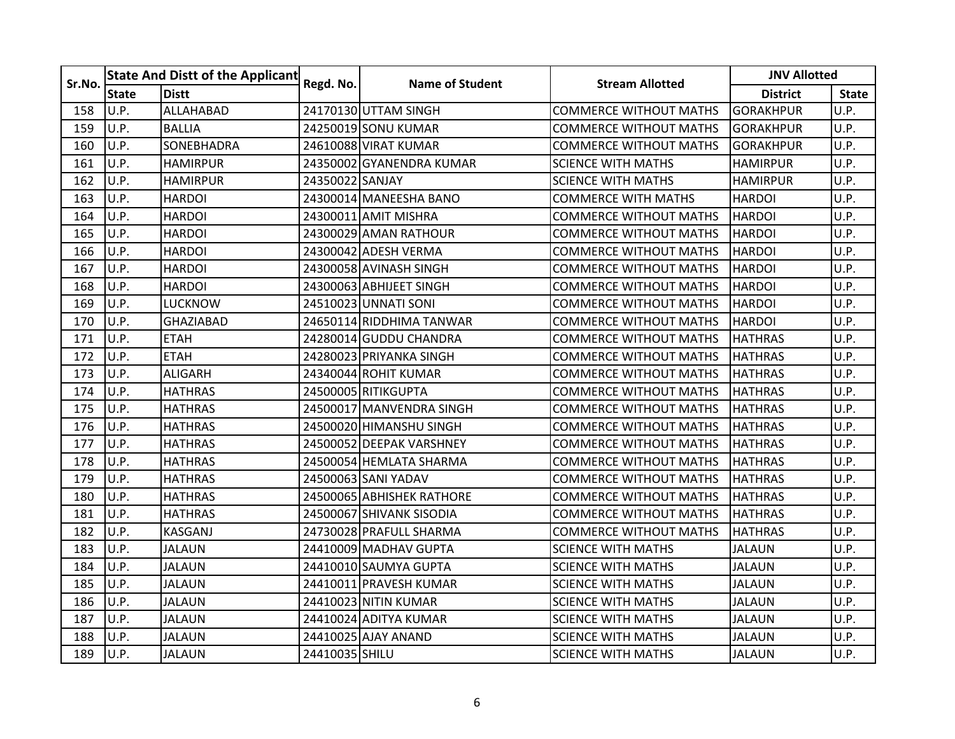| Sr.No. |              | <b>State And Distt of the Applicant</b> | Regd. No.       | <b>Name of Student</b>    | <b>Stream Allotted</b>        | <b>JNV Allotted</b> |              |
|--------|--------------|-----------------------------------------|-----------------|---------------------------|-------------------------------|---------------------|--------------|
|        | <b>State</b> | <b>Distt</b>                            |                 |                           |                               | <b>District</b>     | <b>State</b> |
| 158    | U.P.         | <b>ALLAHABAD</b>                        |                 | 24170130 UTTAM SINGH      | <b>COMMERCE WITHOUT MATHS</b> | <b>GORAKHPUR</b>    | U.P.         |
| 159    | U.P.         | <b>BALLIA</b>                           |                 | 24250019 SONU KUMAR       | <b>COMMERCE WITHOUT MATHS</b> | <b>GORAKHPUR</b>    | U.P.         |
| 160    | U.P.         | <b>SONEBHADRA</b>                       |                 | 24610088 VIRAT KUMAR      | <b>COMMERCE WITHOUT MATHS</b> | <b>GORAKHPUR</b>    | U.P.         |
| 161    | U.P.         | <b>HAMIRPUR</b>                         |                 | 243500021GYANENDRA KUMAR  | <b>SCIENCE WITH MATHS</b>     | <b>HAMIRPUR</b>     | U.P.         |
| 162    | U.P.         | <b>HAMIRPUR</b>                         | 24350022 SANJAY |                           | <b>SCIENCE WITH MATHS</b>     | <b>HAMIRPUR</b>     | U.P.         |
| 163    | U.P.         | <b>HARDOI</b>                           |                 | 24300014 MANEESHA BANO    | <b>COMMERCE WITH MATHS</b>    | <b>HARDOI</b>       | U.P.         |
| 164    | U.P.         | <b>HARDOI</b>                           |                 | 24300011 AMIT MISHRA      | <b>COMMERCE WITHOUT MATHS</b> | <b>HARDOI</b>       | U.P.         |
| 165    | U.P.         | <b>HARDOI</b>                           |                 | 24300029 AMAN RATHOUR     | <b>COMMERCE WITHOUT MATHS</b> | <b>HARDOI</b>       | U.P.         |
| 166    | U.P.         | <b>HARDOI</b>                           |                 | 24300042 ADESH VERMA      | <b>COMMERCE WITHOUT MATHS</b> | <b>HARDOI</b>       | U.P.         |
| 167    | U.P.         | <b>HARDOI</b>                           |                 | 24300058 AVINASH SINGH    | <b>COMMERCE WITHOUT MATHS</b> | <b>HARDOI</b>       | U.P.         |
| 168    | U.P.         | <b>HARDOI</b>                           |                 | 24300063 ABHIJEET SINGH   | <b>COMMERCE WITHOUT MATHS</b> | <b>HARDOI</b>       | U.P.         |
| 169    | U.P.         | <b>LUCKNOW</b>                          |                 | 24510023 UNNATI SONI      | <b>COMMERCE WITHOUT MATHS</b> | <b>HARDOI</b>       | U.P.         |
| 170    | U.P.         | <b>GHAZIABAD</b>                        |                 | 24650114 RIDDHIMA TANWAR  | <b>COMMERCE WITHOUT MATHS</b> | <b>HARDOI</b>       | U.P.         |
| 171    | U.P.         | <b>ETAH</b>                             |                 | 24280014 GUDDU CHANDRA    | COMMERCE WITHOUT MATHS        | <b>HATHRAS</b>      | U.P.         |
| 172    | U.P.         | <b>ETAH</b>                             |                 | 24280023 PRIYANKA SINGH   | <b>COMMERCE WITHOUT MATHS</b> | <b>HATHRAS</b>      | U.P.         |
| 173    | U.P.         | <b>ALIGARH</b>                          |                 | 24340044 ROHIT KUMAR      | <b>COMMERCE WITHOUT MATHS</b> | <b>HATHRAS</b>      | U.P.         |
| 174    | U.P.         | <b>HATHRAS</b>                          |                 | 24500005 RITIKGUPTA       | <b>COMMERCE WITHOUT MATHS</b> | <b>HATHRAS</b>      | U.P.         |
| 175    | U.P.         | <b>HATHRAS</b>                          |                 | 24500017 MANVENDRA SINGH  | <b>COMMERCE WITHOUT MATHS</b> | <b>HATHRAS</b>      | U.P.         |
| 176    | U.P.         | <b>HATHRAS</b>                          |                 | 24500020 HIMANSHU SINGH   | <b>COMMERCE WITHOUT MATHS</b> | <b>HATHRAS</b>      | U.P.         |
| 177    | U.P.         | <b>HATHRAS</b>                          |                 | 245000521DEEPAK VARSHNEY  | <b>COMMERCE WITHOUT MATHS</b> | <b>HATHRAS</b>      | U.P.         |
| 178    | U.P.         | <b>HATHRAS</b>                          |                 | 24500054 HEMLATA SHARMA   | <b>COMMERCE WITHOUT MATHS</b> | <b>HATHRAS</b>      | U.P.         |
| 179    | U.P.         | <b>HATHRAS</b>                          |                 | 24500063 SANI YADAV       | <b>COMMERCE WITHOUT MATHS</b> | <b>HATHRAS</b>      | U.P.         |
| 180    | U.P.         | <b>HATHRAS</b>                          |                 | 24500065 ABHISHEK RATHORE | <b>COMMERCE WITHOUT MATHS</b> | <b>HATHRAS</b>      | U.P.         |
| 181    | U.P.         | <b>HATHRAS</b>                          |                 | 24500067 SHIVANK SISODIA  | <b>COMMERCE WITHOUT MATHS</b> | <b>HATHRAS</b>      | U.P.         |
| 182    | U.P.         | KASGANJ                                 |                 | 24730028 PRAFULL SHARMA   | <b>COMMERCE WITHOUT MATHS</b> | HATHRAS             | U.P.         |
| 183    | U.P.         | <b>JALAUN</b>                           |                 | 24410009 MADHAV GUPTA     | <b>SCIENCE WITH MATHS</b>     | <b>JALAUN</b>       | U.P.         |
| 184    | U.P.         | <b>JALAUN</b>                           |                 | 24410010 SAUMYA GUPTA     | <b>SCIENCE WITH MATHS</b>     | <b>JALAUN</b>       | U.P.         |
| 185    | U.P.         | <b>JALAUN</b>                           |                 | 24410011 PRAVESH KUMAR    | <b>SCIENCE WITH MATHS</b>     | <b>JALAUN</b>       | U.P.         |
| 186    | U.P.         | <b>JALAUN</b>                           |                 | 24410023 NITIN KUMAR      | <b>SCIENCE WITH MATHS</b>     | <b>JALAUN</b>       | U.P.         |
| 187    | U.P.         | JALAUN                                  |                 | 24410024 ADITYA KUMAR     | <b>SCIENCE WITH MATHS</b>     | <b>JALAUN</b>       | U.P.         |
| 188    | U.P.         | <b>JALAUN</b>                           |                 | 24410025 AJAY ANAND       | <b>SCIENCE WITH MATHS</b>     | <b>JALAUN</b>       | U.P.         |
| 189    | U.P.         | <b>JALAUN</b>                           | 24410035 SHILU  |                           | <b>SCIENCE WITH MATHS</b>     | <b>JALAUN</b>       | U.P.         |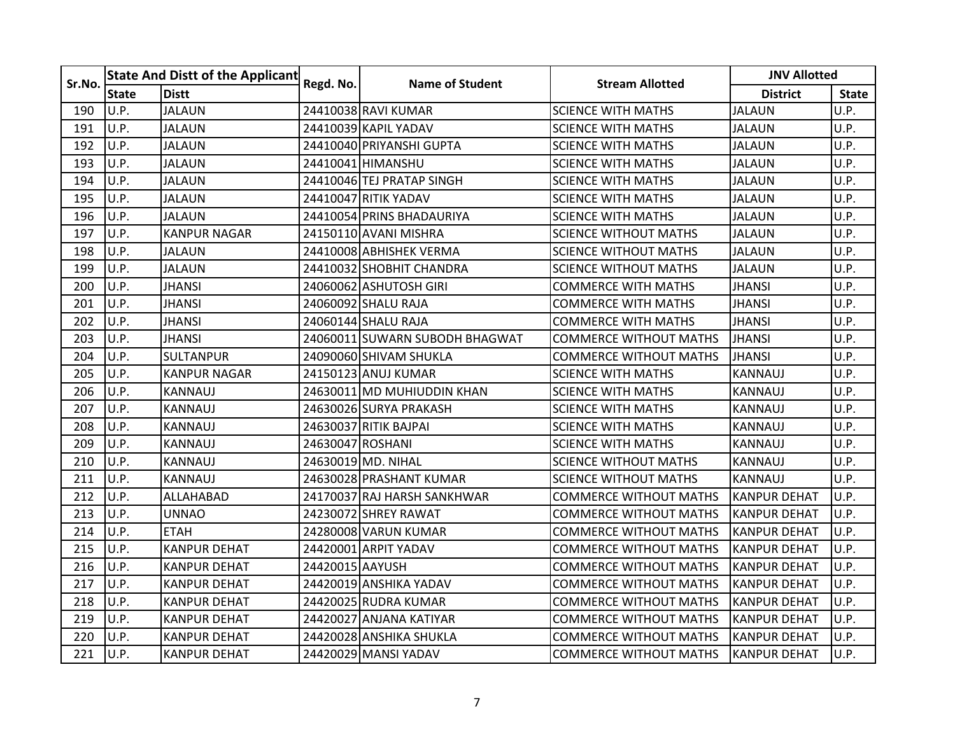| Sr.No. |              | <b>State And Distt of the Applicant</b> | Regd. No.        | <b>Name of Student</b>         | <b>Stream Allotted</b>        | <b>JNV Allotted</b> |              |
|--------|--------------|-----------------------------------------|------------------|--------------------------------|-------------------------------|---------------------|--------------|
|        | <b>State</b> | <b>Distt</b>                            |                  |                                |                               | <b>District</b>     | <b>State</b> |
| 190    | U.P.         | <b>JALAUN</b>                           |                  | 24410038 RAVI KUMAR            | <b>SCIENCE WITH MATHS</b>     | <b>JALAUN</b>       | U.P.         |
| 191    | U.P.         | <b>JALAUN</b>                           |                  | 24410039 KAPIL YADAV           | <b>SCIENCE WITH MATHS</b>     | <b>JALAUN</b>       | U.P.         |
| 192    | U.P.         | <b>JALAUN</b>                           |                  | 24410040 PRIYANSHI GUPTA       | <b>SCIENCE WITH MATHS</b>     | <b>JALAUN</b>       | U.P.         |
| 193    | U.P.         | <b>JALAUN</b>                           |                  | 24410041 HIMANSHU              | <b>SCIENCE WITH MATHS</b>     | <b>JALAUN</b>       | U.P.         |
| 194    | U.P.         | <b>JALAUN</b>                           |                  | 24410046 TEJ PRATAP SINGH      | <b>SCIENCE WITH MATHS</b>     | <b>JALAUN</b>       | U.P.         |
| 195    | U.P.         | <b>JALAUN</b>                           |                  | 24410047 RITIK YADAV           | <b>SCIENCE WITH MATHS</b>     | <b>JALAUN</b>       | U.P.         |
| 196    | U.P.         | <b>JALAUN</b>                           |                  | 24410054 PRINS BHADAURIYA      | SCIENCE WITH MATHS            | <b>JALAUN</b>       | U.P.         |
| 197    | U.P.         | <b>KANPUR NAGAR</b>                     |                  | 24150110 AVANI MISHRA          | <b>SCIENCE WITHOUT MATHS</b>  | <b>JALAUN</b>       | U.P.         |
| 198    | U.P.         | JALAUN                                  |                  | 24410008 ABHISHEK VERMA        | <b>SCIENCE WITHOUT MATHS</b>  | <b>JALAUN</b>       | U.P.         |
| 199    | U.P.         | <b>JALAUN</b>                           |                  | 24410032 SHOBHIT CHANDRA       | <b>SCIENCE WITHOUT MATHS</b>  | <b>JALAUN</b>       | U.P.         |
| 200    | U.P.         | <b>JHANSI</b>                           |                  | 24060062 ASHUTOSH GIRI         | <b>COMMERCE WITH MATHS</b>    | <b>JHANSI</b>       | U.P.         |
| 201    | U.P.         | <b>JHANSI</b>                           |                  | 24060092 SHALU RAJA            | <b>COMMERCE WITH MATHS</b>    | <b>JHANSI</b>       | U.P.         |
| 202    | U.P.         | <b>JHANSI</b>                           |                  | 24060144 SHALU RAJA            | <b>COMMERCE WITH MATHS</b>    | <b>JHANSI</b>       | U.P.         |
| 203    | U.P.         | JHANSI                                  |                  | 24060011 SUWARN SUBODH BHAGWAT | COMMERCE WITHOUT MATHS        | <b>JHANSI</b>       | U.P.         |
| 204    | U.P.         | <b>SULTANPUR</b>                        |                  | 24090060 SHIVAM SHUKLA         | <b>COMMERCE WITHOUT MATHS</b> | <b>JHANSI</b>       | U.P.         |
| 205    | U.P.         | <b>KANPUR NAGAR</b>                     |                  | 24150123 ANUJ KUMAR            | <b>SCIENCE WITH MATHS</b>     | <b>KANNAUJ</b>      | U.P.         |
| 206    | U.P.         | <b>KANNAUJ</b>                          |                  | 24630011 MD MUHIUDDIN KHAN     | <b>SCIENCE WITH MATHS</b>     | <b>KANNAUJ</b>      | U.P.         |
| 207    | U.P.         | <b>KANNAUJ</b>                          |                  | 24630026 SURYA PRAKASH         | <b>SCIENCE WITH MATHS</b>     | <b>KANNAUJ</b>      | U.P.         |
| 208    | U.P.         | KANNAUJ                                 |                  | 24630037 RITIK BAJPAI          | <b>SCIENCE WITH MATHS</b>     | KANNAUJ             | U.P.         |
| 209    | U.P.         | <b>KANNAUJ</b>                          | 24630047 ROSHANI |                                | <b>SCIENCE WITH MATHS</b>     | <b>KANNAUJ</b>      | U.P.         |
| 210    | U.P.         | <b>KANNAUJ</b>                          |                  | 24630019 MD. NIHAL             | <b>SCIENCE WITHOUT MATHS</b>  | <b>KANNAUJ</b>      | U.P.         |
| 211    | U.P.         | KANNAUJ                                 |                  | 24630028 PRASHANT KUMAR        | <b>SCIENCE WITHOUT MATHS</b>  | <b>KANNAUJ</b>      | U.P.         |
| 212    | U.P.         | ALLAHABAD                               |                  | 24170037 RAJ HARSH SANKHWAR    | <b>COMMERCE WITHOUT MATHS</b> | <b>KANPUR DEHAT</b> | U.P.         |
| 213    | U.P.         | <b>UNNAO</b>                            |                  | 24230072 SHREY RAWAT           | <b>COMMERCE WITHOUT MATHS</b> | <b>KANPUR DEHAT</b> | U.P.         |
| 214    | U.P.         | <b>ETAH</b>                             |                  | 24280008 VARUN KUMAR           | <b>COMMERCE WITHOUT MATHS</b> | <b>KANPUR DEHAT</b> | U.P.         |
| 215    | U.P.         | <b>KANPUR DEHAT</b>                     |                  | 24420001 ARPIT YADAV           | <b>COMMERCE WITHOUT MATHS</b> | <b>KANPUR DEHAT</b> | U.P.         |
| 216    | U.P.         | <b>KANPUR DEHAT</b>                     | 24420015 AAYUSH  |                                | <b>COMMERCE WITHOUT MATHS</b> | <b>KANPUR DEHAT</b> | U.P.         |
| 217    | U.P.         | <b>KANPUR DEHAT</b>                     |                  | 24420019 ANSHIKA YADAV         | <b>COMMERCE WITHOUT MATHS</b> | <b>KANPUR DEHAT</b> | U.P.         |
| 218    | U.P.         | <b>KANPUR DEHAT</b>                     |                  | 24420025 RUDRA KUMAR           | <b>COMMERCE WITHOUT MATHS</b> | <b>KANPUR DEHAT</b> | U.P.         |
| 219    | U.P.         | <b>KANPUR DEHAT</b>                     |                  | 24420027 ANJANA KATIYAR        | COMMERCE WITHOUT MATHS        | <b>KANPUR DEHAT</b> | U.P.         |
| 220    | U.P.         | <b>KANPUR DEHAT</b>                     |                  | 24420028 ANSHIKA SHUKLA        | <b>COMMERCE WITHOUT MATHS</b> | <b>KANPUR DEHAT</b> | U.P.         |
| 221    | U.P.         | <b>KANPUR DEHAT</b>                     |                  | 24420029 MANSI YADAV           | <b>COMMERCE WITHOUT MATHS</b> | <b>KANPUR DEHAT</b> | U.P.         |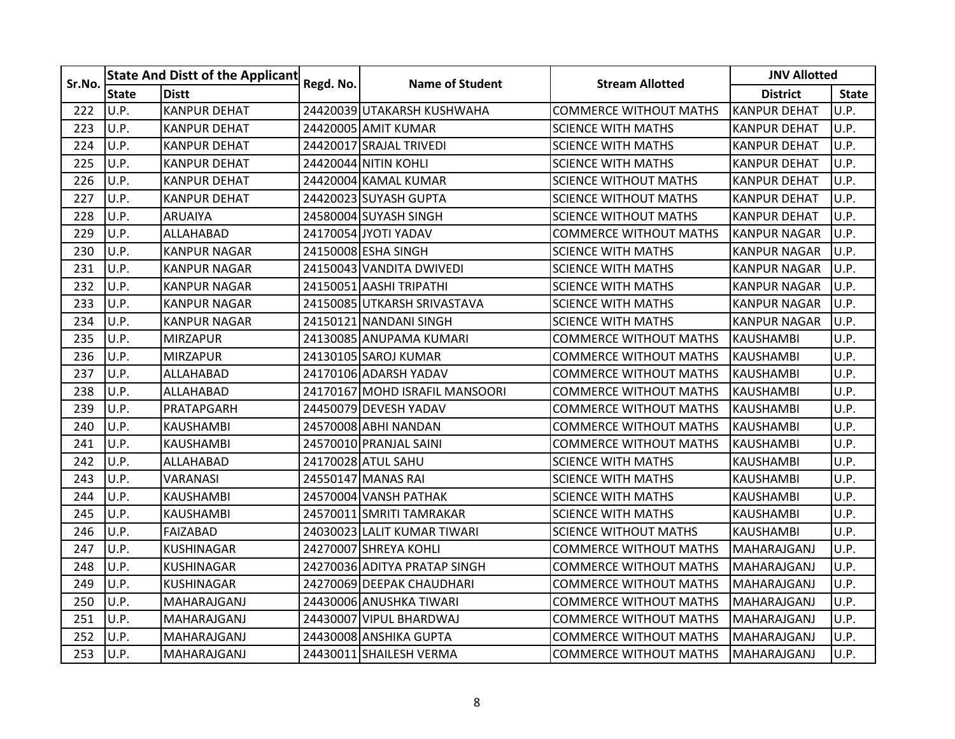| Sr.No. |              | <b>State And Distt of the Applicant</b> |           | <b>Name of Student</b>         | <b>Stream Allotted</b>        | <b>JNV Allotted</b> |              |  |
|--------|--------------|-----------------------------------------|-----------|--------------------------------|-------------------------------|---------------------|--------------|--|
|        | <b>State</b> | <b>Distt</b>                            | Regd. No. |                                |                               | <b>District</b>     | <b>State</b> |  |
| 222    | U.P.         | <b>KANPUR DEHAT</b>                     |           | 24420039 UTAKARSH KUSHWAHA     | <b>COMMERCE WITHOUT MATHS</b> | <b>KANPUR DEHAT</b> | U.P.         |  |
| 223    | U.P.         | <b>KANPUR DEHAT</b>                     |           | 24420005 AMIT KUMAR            | <b>SCIENCE WITH MATHS</b>     | <b>KANPUR DEHAT</b> | U.P.         |  |
| 224    | U.P.         | <b>KANPUR DEHAT</b>                     |           | 24420017 SRAJAL TRIVEDI        | <b>SCIENCE WITH MATHS</b>     | <b>KANPUR DEHAT</b> | U.P.         |  |
| 225    | U.P.         | <b>KANPUR DEHAT</b>                     |           | 24420044 NITIN KOHLI           | <b>SCIENCE WITH MATHS</b>     | <b>KANPUR DEHAT</b> | U.P.         |  |
| 226    | U.P.         | <b>KANPUR DEHAT</b>                     |           | 24420004 KAMAL KUMAR           | <b>SCIENCE WITHOUT MATHS</b>  | <b>KANPUR DEHAT</b> | U.P.         |  |
| 227    | U.P.         | <b>KANPUR DEHAT</b>                     |           | 24420023 SUYASH GUPTA          | <b>SCIENCE WITHOUT MATHS</b>  | <b>KANPUR DEHAT</b> | U.P.         |  |
| 228    | U.P.         | ARUAIYA                                 |           | 24580004 SUYASH SINGH          | SCIENCE WITHOUT MATHS         | <b>KANPUR DEHAT</b> | U.P.         |  |
| 229    | U.P.         | ALLAHABAD                               |           | 24170054 JYOTI YADAV           | <b>COMMERCE WITHOUT MATHS</b> | <b>KANPUR NAGAR</b> | U.P.         |  |
| 230    | U.P.         | <b>KANPUR NAGAR</b>                     |           | 24150008 ESHA SINGH            | <b>SCIENCE WITH MATHS</b>     | <b>KANPUR NAGAR</b> | U.P.         |  |
| 231    | U.P.         | <b>KANPUR NAGAR</b>                     |           | 24150043 VANDITA DWIVEDI       | <b>SCIENCE WITH MATHS</b>     | <b>KANPUR NAGAR</b> | U.P.         |  |
| 232    | U.P.         | <b>KANPUR NAGAR</b>                     |           | 24150051 AASHI TRIPATHI        | <b>SCIENCE WITH MATHS</b>     | <b>KANPUR NAGAR</b> | U.P.         |  |
| 233    | U.P.         | <b>KANPUR NAGAR</b>                     |           | 24150085 UTKARSH SRIVASTAVA    | <b>SCIENCE WITH MATHS</b>     | <b>KANPUR NAGAR</b> | U.P.         |  |
| 234    | U.P.         | <b>KANPUR NAGAR</b>                     |           | 24150121 NANDANI SINGH         | <b>SCIENCE WITH MATHS</b>     | <b>KANPUR NAGAR</b> | U.P.         |  |
| 235    | U.P.         | <b>MIRZAPUR</b>                         |           | 24130085 ANUPAMA KUMARI        | COMMERCE WITHOUT MATHS        | <b>KAUSHAMBI</b>    | U.P.         |  |
| 236    | U.P.         | <b>MIRZAPUR</b>                         |           | 24130105 SAROJ KUMAR           | <b>COMMERCE WITHOUT MATHS</b> | <b>KAUSHAMBI</b>    | U.P.         |  |
| 237    | U.P.         | ALLAHABAD                               |           | 24170106 ADARSH YADAV          | <b>COMMERCE WITHOUT MATHS</b> | <b>KAUSHAMBI</b>    | U.P.         |  |
| 238    | U.P.         | ALLAHABAD                               |           | 24170167 MOHD ISRAFIL MANSOORI | <b>COMMERCE WITHOUT MATHS</b> | <b>KAUSHAMBI</b>    | U.P.         |  |
| 239    | U.P.         | PRATAPGARH                              |           | 24450079 DEVESH YADAV          | <b>COMMERCE WITHOUT MATHS</b> | <b>KAUSHAMBI</b>    | U.P.         |  |
| 240    | U.P.         | <b>KAUSHAMBI</b>                        |           | 24570008 ABHI NANDAN           | <b>COMMERCE WITHOUT MATHS</b> | <b>KAUSHAMBI</b>    | U.P.         |  |
| 241    | U.P.         | <b>KAUSHAMBI</b>                        |           | 24570010 PRANJAL SAINI         | <b>COMMERCE WITHOUT MATHS</b> | <b>KAUSHAMBI</b>    | U.P.         |  |
| 242    | U.P.         | ALLAHABAD                               |           | 24170028 ATUL SAHU             | <b>SCIENCE WITH MATHS</b>     | <b>KAUSHAMBI</b>    | U.P.         |  |
| 243    | U.P.         | VARANASI                                |           | 24550147 MANAS RAI             | <b>SCIENCE WITH MATHS</b>     | <b>KAUSHAMBI</b>    | U.P.         |  |
| 244    | U.P.         | KAUSHAMBI                               |           | 24570004 VANSH PATHAK          | <b>SCIENCE WITH MATHS</b>     | <b>KAUSHAMBI</b>    | U.P.         |  |
| 245    | U.P.         | <b>KAUSHAMBI</b>                        |           | 24570011 SMRITI TAMRAKAR       | <b>SCIENCE WITH MATHS</b>     | <b>KAUSHAMBI</b>    | U.P.         |  |
| 246    | U.P.         | <b>FAIZABAD</b>                         |           | 24030023 LALIT KUMAR TIWARI    | SCIENCE WITHOUT MATHS         | KAUSHAMBI           | U.P.         |  |
| 247    | U.P.         | <b>KUSHINAGAR</b>                       |           | 24270007 SHREYA KOHLI          | <b>COMMERCE WITHOUT MATHS</b> | MAHARAJGANJ         | U.P.         |  |
| 248    | U.P.         | KUSHINAGAR                              |           | 24270036 ADITYA PRATAP SINGH   | <b>COMMERCE WITHOUT MATHS</b> | MAHARAJGANJ         | U.P.         |  |
| 249    | U.P.         | <b>KUSHINAGAR</b>                       |           | 24270069 DEEPAK CHAUDHARI      | <b>COMMERCE WITHOUT MATHS</b> | MAHARAJGANJ         | U.P.         |  |
| 250    | U.P.         | MAHARAJGANJ                             |           | 24430006 ANUSHKA TIWARI        | <b>COMMERCE WITHOUT MATHS</b> | MAHARAJGANJ         | U.P.         |  |
| 251    | U.P.         | MAHARAJGANJ                             |           | 24430007 VIPUL BHARDWAJ        | <b>COMMERCE WITHOUT MATHS</b> | MAHARAJGANJ         | U.P.         |  |
| 252    | U.P.         | MAHARAJGANJ                             |           | 24430008 ANSHIKA GUPTA         | <b>COMMERCE WITHOUT MATHS</b> | MAHARAJGANJ         | U.P.         |  |
| 253    | U.P.         | MAHARAJGANJ                             |           | 24430011 SHAILESH VERMA        | <b>COMMERCE WITHOUT MATHS</b> | MAHARAJGANJ         | U.P.         |  |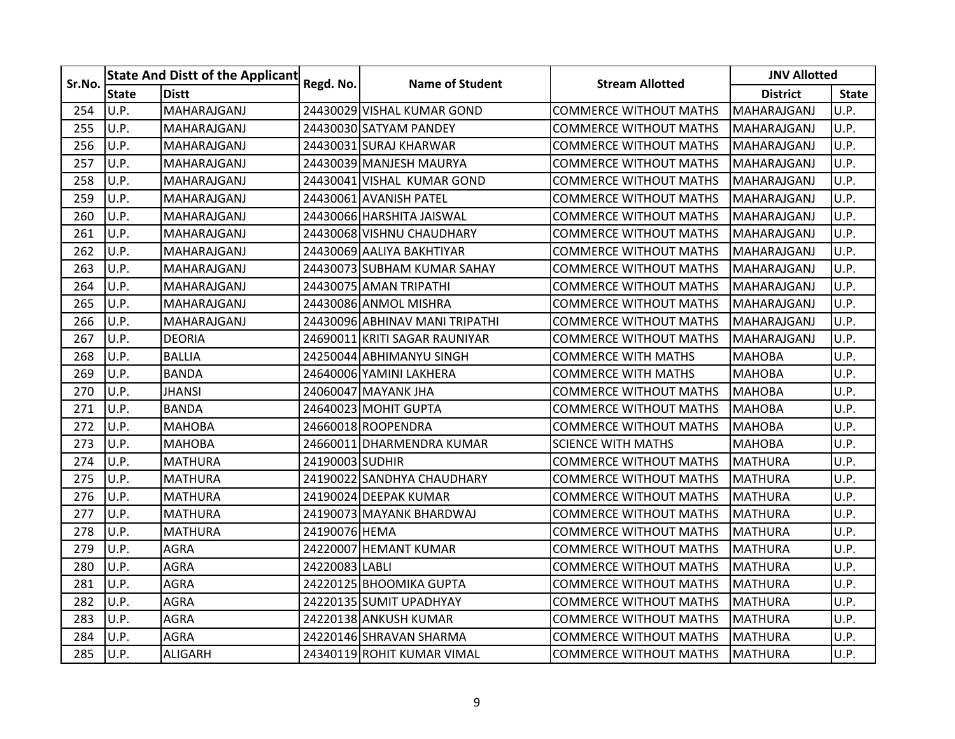| Sr.No. |              | <b>State And Distt of the Applicant</b> | Regd. No.       | <b>Name of Student</b>         | <b>Stream Allotted</b>        | <b>JNV Allotted</b> |              |
|--------|--------------|-----------------------------------------|-----------------|--------------------------------|-------------------------------|---------------------|--------------|
|        | <b>State</b> | <b>Distt</b>                            |                 |                                |                               | <b>District</b>     | <b>State</b> |
| 254    | U.P.         | MAHARAJGANJ                             |                 | 24430029 VISHAL KUMAR GOND     | <b>COMMERCE WITHOUT MATHS</b> | MAHARAJGANJ         | U.P.         |
| 255    | U.P.         | MAHARAJGANJ                             |                 | 24430030 SATYAM PANDEY         | <b>COMMERCE WITHOUT MATHS</b> | MAHARAJGANJ         | U.P.         |
| 256    | U.P.         | MAHARAJGANJ                             |                 | 24430031 SURAJ KHARWAR         | COMMERCE WITHOUT MATHS        | MAHARAJGANJ         | U.P.         |
| 257    | U.P.         | MAHARAJGANJ                             |                 | 24430039 MANJESH MAURYA        | <b>COMMERCE WITHOUT MATHS</b> | MAHARAJGANJ         | U.P.         |
| 258    | U.P.         | MAHARAJGANJ                             |                 | 24430041 VISHAL KUMAR GOND     | <b>COMMERCE WITHOUT MATHS</b> | MAHARAJGANJ         | U.P.         |
| 259    | U.P.         | MAHARAJGANJ                             |                 | 24430061 AVANISH PATEL         | <b>COMMERCE WITHOUT MATHS</b> | MAHARAJGANJ         | U.P.         |
| 260    | U.P.         | MAHARAJGANJ                             |                 | 24430066 HARSHITA JAISWAL      | <b>COMMERCE WITHOUT MATHS</b> | MAHARAJGANJ         | U.P.         |
| 261    | U.P.         | MAHARAJGANJ                             |                 | 24430068 VISHNU CHAUDHARY      | <b>COMMERCE WITHOUT MATHS</b> | MAHARAJGANJ         | U.P.         |
| 262    | U.P.         | MAHARAJGANJ                             |                 | 24430069 AALIYA BAKHTIYAR      | COMMERCE WITHOUT MATHS        | MAHARAJGANJ         | U.P.         |
| 263    | U.P.         | MAHARAJGANJ                             |                 | 24430073 SUBHAM KUMAR SAHAY    | <b>COMMERCE WITHOUT MATHS</b> | MAHARAJGANJ         | U.P.         |
| 264    | U.P.         | MAHARAJGANJ                             |                 | 24430075 AMAN TRIPATHI         | <b>COMMERCE WITHOUT MATHS</b> | MAHARAJGANJ         | U.P.         |
| 265    | U.P.         | MAHARAJGANJ                             |                 | 24430086 ANMOL MISHRA          | <b>COMMERCE WITHOUT MATHS</b> | MAHARAJGANJ         | U.P.         |
| 266    | U.P.         | MAHARAJGANJ                             |                 | 24430096 ABHINAV MANI TRIPATHI | <b>COMMERCE WITHOUT MATHS</b> | MAHARAJGANJ         | U.P.         |
| 267    | U.P.         | <b>DEORIA</b>                           |                 | 24690011 KRITI SAGAR RAUNIYAR  | COMMERCE WITHOUT MATHS        | MAHARAJGANJ         | U.P.         |
| 268    | U.P.         | <b>BALLIA</b>                           |                 | 24250044 ABHIMANYU SINGH       | <b>COMMERCE WITH MATHS</b>    | <b>MAHOBA</b>       | U.P.         |
| 269    | U.P.         | <b>BANDA</b>                            |                 | 24640006 YAMINI LAKHERA        | <b>COMMERCE WITH MATHS</b>    | <b>MAHOBA</b>       | U.P.         |
| 270    | U.P.         | <b>JHANSI</b>                           |                 | 24060047 MAYANK JHA            | <b>COMMERCE WITHOUT MATHS</b> | <b>MAHOBA</b>       | U.P.         |
| 271    | U.P.         | <b>BANDA</b>                            |                 | 24640023 MOHIT GUPTA           | <b>COMMERCE WITHOUT MATHS</b> | <b>MAHOBA</b>       | U.P.         |
| 272    | U.P.         | <b>MAHOBA</b>                           |                 | 24660018 ROOPENDRA             | COMMERCE WITHOUT MATHS        | <b>MAHOBA</b>       | U.P.         |
| 273    | U.P.         | <b>MAHOBA</b>                           |                 | 24660011 DHARMENDRA KUMAR      | <b>SCIENCE WITH MATHS</b>     | <b>MAHOBA</b>       | U.P.         |
| 274    | U.P.         | <b>MATHURA</b>                          | 24190003 SUDHIR |                                | <b>COMMERCE WITHOUT MATHS</b> | <b>MATHURA</b>      | U.P.         |
| 275    | U.P.         | <b>MATHURA</b>                          |                 | 24190022 SANDHYA CHAUDHARY     | <b>COMMERCE WITHOUT MATHS</b> | <b>MATHURA</b>      | U.P.         |
| 276    | U.P.         | <b>MATHURA</b>                          |                 | 24190024 DEEPAK KUMAR          | <b>COMMERCE WITHOUT MATHS</b> | <b>MATHURA</b>      | U.P.         |
| 277    | U.P.         | <b>MATHURA</b>                          |                 | 24190073 MAYANK BHARDWAJ       | COMMERCE WITHOUT MATHS        | <b>MATHURA</b>      | U.P.         |
| 278    | U.P.         | <b>MATHURA</b>                          | 24190076 HEMA   |                                | COMMERCE WITHOUT MATHS        | MATHURA             | U.P.         |
| 279    | U.P.         | <b>AGRA</b>                             |                 | 24220007 HEMANT KUMAR          | <b>COMMERCE WITHOUT MATHS</b> | <b>MATHURA</b>      | U.P.         |
| 280    | U.P.         | <b>AGRA</b>                             | 24220083 LABLI  |                                | <b>COMMERCE WITHOUT MATHS</b> | <b>MATHURA</b>      | U.P.         |
| 281    | U.P.         | <b>AGRA</b>                             |                 | 24220125 BHOOMIKA GUPTA        | <b>COMMERCE WITHOUT MATHS</b> | <b>MATHURA</b>      | U.P.         |
| 282    | U.P.         | <b>AGRA</b>                             |                 | 24220135 SUMIT UPADHYAY        | <b>COMMERCE WITHOUT MATHS</b> | <b>MATHURA</b>      | U.P.         |
| 283    | U.P.         | <b>AGRA</b>                             |                 | 24220138 ANKUSH KUMAR          | <b>COMMERCE WITHOUT MATHS</b> | <b>MATHURA</b>      | U.P.         |
| 284    | U.P.         | <b>AGRA</b>                             |                 | 24220146 SHRAVAN SHARMA        | <b>COMMERCE WITHOUT MATHS</b> | <b>MATHURA</b>      | U.P.         |
| 285    | U.P.         | <b>ALIGARH</b>                          |                 | 24340119 ROHIT KUMAR VIMAL     | <b>COMMERCE WITHOUT MATHS</b> | <b>MATHURA</b>      | U.P.         |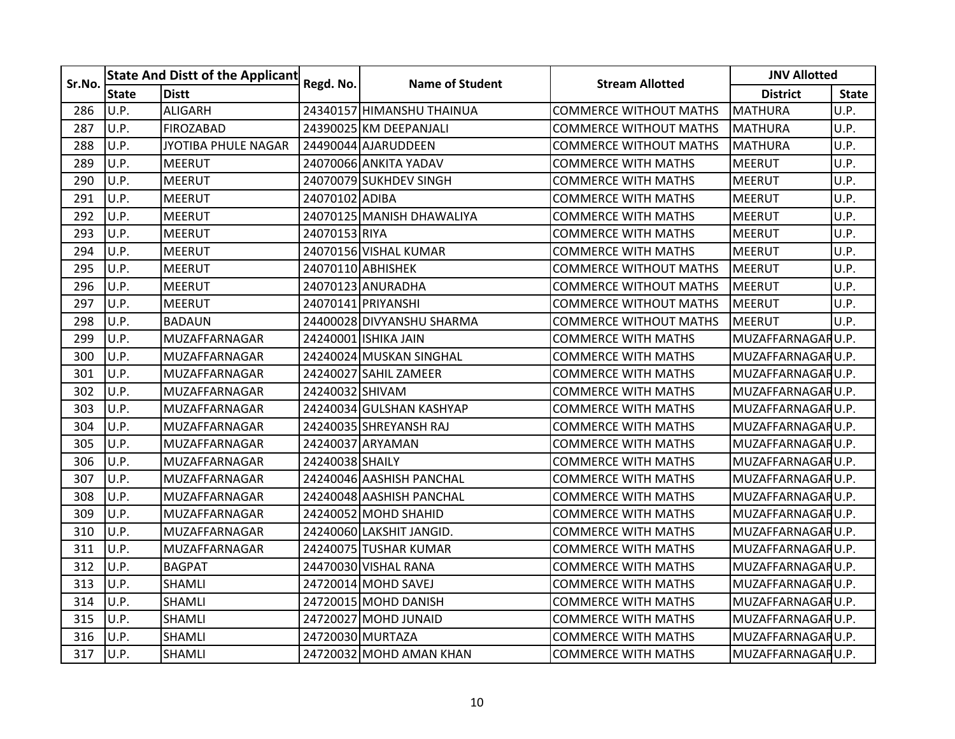| Sr.No. |              | <b>State And Distt of the Applicant</b> |                 | <b>Name of Student</b>    | <b>Stream Allotted</b>        | <b>JNV Allotted</b> |              |
|--------|--------------|-----------------------------------------|-----------------|---------------------------|-------------------------------|---------------------|--------------|
|        | <b>State</b> | <b>Distt</b>                            | Regd. No.       |                           |                               | <b>District</b>     | <b>State</b> |
| 286    | U.P.         | <b>ALIGARH</b>                          |                 | 24340157 HIMANSHU THAINUA | <b>COMMERCE WITHOUT MATHS</b> | <b>MATHURA</b>      | U.P.         |
| 287    | U.P.         | <b>FIROZABAD</b>                        |                 | 24390025 KM DEEPANJALI    | <b>COMMERCE WITHOUT MATHS</b> | <b>MATHURA</b>      | U.P.         |
| 288    | U.P.         | JYOTIBA PHULE NAGAR                     |                 | 24490044 AJARUDDEEN       | <b>COMMERCE WITHOUT MATHS</b> | <b>MATHURA</b>      | U.P.         |
| 289    | U.P.         | <b>MEERUT</b>                           |                 | 24070066 ANKITA YADAV     | <b>COMMERCE WITH MATHS</b>    | <b>MEERUT</b>       | U.P.         |
| 290    | U.P.         | <b>MEERUT</b>                           |                 | 24070079 SUKHDEV SINGH    | <b>COMMERCE WITH MATHS</b>    | <b>MEERUT</b>       | U.P.         |
| 291    | U.P.         | MEERUT                                  | 24070102 ADIBA  |                           | <b>COMMERCE WITH MATHS</b>    | <b>MEERUT</b>       | U.P.         |
| 292    | U.P.         | <b>MEERUT</b>                           |                 | 24070125 MANISH DHAWALIYA | COMMERCE WITH MATHS           | <b>MEERUT</b>       | U.P.         |
| 293    | U.P.         | <b>MEERUT</b>                           | 24070153 RIYA   |                           | <b>COMMERCE WITH MATHS</b>    | <b>MEERUT</b>       | U.P.         |
| 294    | U.P.         | <b>MEERUT</b>                           |                 | 24070156 VISHAL KUMAR     | <b>COMMERCE WITH MATHS</b>    | <b>MEERUT</b>       | U.P.         |
| 295    | U.P.         | <b>MEERUT</b>                           |                 | 24070110 ABHISHEK         | <b>COMMERCE WITHOUT MATHS</b> | <b>MEERUT</b>       | U.P.         |
| 296    | U.P.         | <b>MEERUT</b>                           |                 | 24070123 ANURADHA         | <b>COMMERCE WITHOUT MATHS</b> | <b>MEERUT</b>       | U.P.         |
| 297    | U.P.         | <b>MEERUT</b>                           |                 | 24070141 PRIYANSHI        | <b>COMMERCE WITHOUT MATHS</b> | <b>MEERUT</b>       | U.P.         |
| 298    | U.P.         | <b>BADAUN</b>                           |                 | 24400028 DIVYANSHU SHARMA | <b>COMMERCE WITHOUT MATHS</b> | <b>MEERUT</b>       | U.P.         |
| 299    | U.P.         | MUZAFFARNAGAR                           |                 | 24240001 ISHIKA JAIN      | <b>COMMERCE WITH MATHS</b>    | MUZAFFARNAGARU.P.   |              |
| 300    | U.P.         | MUZAFFARNAGAR                           |                 | 24240024 MUSKAN SINGHAL   | <b>COMMERCE WITH MATHS</b>    | MUZAFFARNAGARU.P.   |              |
| 301    | U.P.         | MUZAFFARNAGAR                           |                 | 24240027 SAHIL ZAMEER     | <b>COMMERCE WITH MATHS</b>    | MUZAFFARNAGARU.P.   |              |
| 302    | U.P.         | MUZAFFARNAGAR                           | 24240032 SHIVAM |                           | <b>COMMERCE WITH MATHS</b>    | MUZAFFARNAGARU.P.   |              |
| 303    | U.P.         | MUZAFFARNAGAR                           |                 | 24240034 GULSHAN KASHYAP  | COMMERCE WITH MATHS           | MUZAFFARNAGARU.P.   |              |
| 304    | U.P.         | MUZAFFARNAGAR                           |                 | 24240035 SHREYANSH RAJ    | <b>COMMERCE WITH MATHS</b>    | MUZAFFARNAGARU.P.   |              |
| 305    | U.P.         | MUZAFFARNAGAR                           |                 | 24240037 ARYAMAN          | <b>COMMERCE WITH MATHS</b>    | MUZAFFARNAGARU.P.   |              |
| 306    | U.P.         | MUZAFFARNAGAR                           | 24240038 SHAILY |                           | <b>COMMERCE WITH MATHS</b>    | MUZAFFARNAGARU.P.   |              |
| 307    | U.P.         | MUZAFFARNAGAR                           |                 | 24240046 AASHISH PANCHAL  | <b>COMMERCE WITH MATHS</b>    | MUZAFFARNAGARU.P.   |              |
| 308    | U.P.         | MUZAFFARNAGAR                           |                 | 24240048 AASHISH PANCHAL  | <b>COMMERCE WITH MATHS</b>    | MUZAFFARNAGARU.P.   |              |
| 309    | U.P.         | MUZAFFARNAGAR                           |                 | 24240052 MOHD SHAHID      | <b>COMMERCE WITH MATHS</b>    | MUZAFFARNAGARU.P.   |              |
| 310    | U.P.         | MUZAFFARNAGAR                           |                 | 24240060 LAKSHIT JANGID.  | <b>COMMERCE WITH MATHS</b>    | MUZAFFARNAGARU.P.   |              |
| 311    | U.P.         | MUZAFFARNAGAR                           |                 | 24240075 TUSHAR KUMAR     | <b>COMMERCE WITH MATHS</b>    | MUZAFFARNAGARU.P.   |              |
| 312    | U.P.         | <b>BAGPAT</b>                           |                 | 24470030 VISHAL RANA      | <b>COMMERCE WITH MATHS</b>    | MUZAFFARNAGARU.P.   |              |
| 313    | U.P.         | <b>SHAMLI</b>                           |                 | 24720014 MOHD SAVEJ       | <b>COMMERCE WITH MATHS</b>    | MUZAFFARNAGARU.P.   |              |
| 314    | U.P.         | SHAMLI                                  |                 | 24720015 MOHD DANISH      | <b>COMMERCE WITH MATHS</b>    | MUZAFFARNAGARU.P.   |              |
| 315    | U.P.         | SHAMLI                                  |                 | 24720027 MOHD JUNAID      | <b>COMMERCE WITH MATHS</b>    | MUZAFFARNAGARU.P.   |              |
| 316    | U.P.         | SHAMLI                                  |                 | 24720030 MURTAZA          | <b>COMMERCE WITH MATHS</b>    | MUZAFFARNAGARU.P.   |              |
| 317    | U.P.         | SHAMLI                                  |                 | 24720032 MOHD AMAN KHAN   | <b>COMMERCE WITH MATHS</b>    | MUZAFFARNAGARU.P.   |              |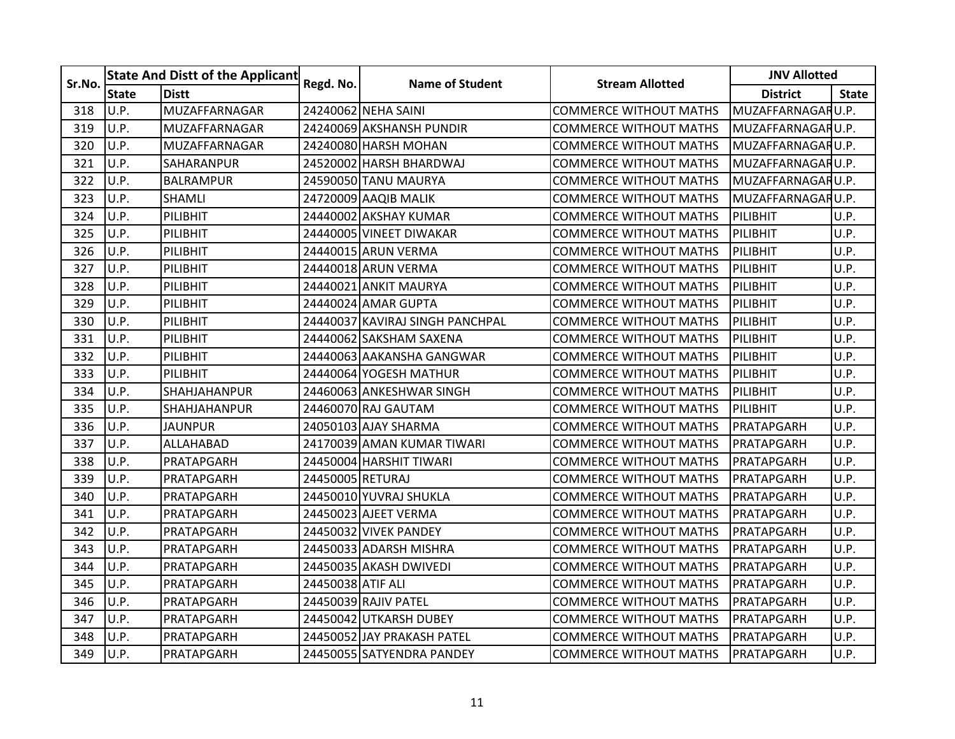| Sr.No. |              | <b>State And Distt of the Applicant</b> |                   | <b>Name of Student</b>          | <b>Stream Allotted</b>        | <b>JNV Allotted</b> |              |
|--------|--------------|-----------------------------------------|-------------------|---------------------------------|-------------------------------|---------------------|--------------|
|        | <b>State</b> | <b>Distt</b>                            | Regd. No.         |                                 |                               | <b>District</b>     | <b>State</b> |
| 318    | U.P.         | MUZAFFARNAGAR                           |                   | 24240062 NEHA SAINI             | <b>COMMERCE WITHOUT MATHS</b> | MUZAFFARNAGARU.P.   |              |
| 319    | U.P.         | MUZAFFARNAGAR                           |                   | 24240069 AKSHANSH PUNDIR        | <b>COMMERCE WITHOUT MATHS</b> | MUZAFFARNAGARU.P.   |              |
| 320    | U.P.         | MUZAFFARNAGAR                           |                   | 24240080 HARSH MOHAN            | COMMERCE WITHOUT MATHS        | MUZAFFARNAGARU.P.   |              |
| 321    | U.P.         | SAHARANPUR                              |                   | 24520002 HARSH BHARDWAJ         | COMMERCE WITHOUT MATHS        | MUZAFFARNAGARU.P.   |              |
| 322    | U.P.         | <b>BALRAMPUR</b>                        |                   | 24590050 TANU MAURYA            | <b>COMMERCE WITHOUT MATHS</b> | MUZAFFARNAGARU.P.   |              |
| 323    | U.P.         | <b>SHAMLI</b>                           |                   | 24720009 AAQIB MALIK            | <b>COMMERCE WITHOUT MATHS</b> | MUZAFFARNAGARU.P.   |              |
| 324    | U.P.         | PILIBHIT                                |                   | 24440002 AKSHAY KUMAR           | <b>COMMERCE WITHOUT MATHS</b> | PILIBHIT            | U.P.         |
| 325    | U.P.         | PILIBHIT                                |                   | 24440005 VINEET DIWAKAR         | COMMERCE WITHOUT MATHS        | PILIBHIT            | U.P.         |
| 326    | U.P.         | PILIBHIT                                |                   | 24440015 ARUN VERMA             | COMMERCE WITHOUT MATHS        | PILIBHIT            | U.P.         |
| 327    | U.P.         | PILIBHIT                                |                   | 24440018 ARUN VERMA             | COMMERCE WITHOUT MATHS        | PILIBHIT            | U.P.         |
| 328    | U.P.         | PILIBHIT                                |                   | 24440021 ANKIT MAURYA           | <b>COMMERCE WITHOUT MATHS</b> | PILIBHIT            | U.P.         |
| 329    | U.P.         | PILIBHIT                                |                   | 24440024 AMAR GUPTA             | <b>COMMERCE WITHOUT MATHS</b> | PILIBHIT            | U.P.         |
| 330    | U.P.         | PILIBHIT                                |                   | 24440037 KAVIRAJ SINGH PANCHPAL | <b>COMMERCE WITHOUT MATHS</b> | PILIBHIT            | U.P.         |
| 331    | U.P.         | PILIBHIT                                |                   | 244400621SAKSHAM SAXENA         | <b>COMMERCE WITHOUT MATHS</b> | PILIBHIT            | U.P.         |
| 332    | U.P.         | PILIBHIT                                |                   | 24440063 AAKANSHA GANGWAR       | <b>COMMERCE WITHOUT MATHS</b> | PILIBHIT            | U.P.         |
| 333    | U.P.         | PILIBHIT                                |                   | 24440064 YOGESH MATHUR          | <b>COMMERCE WITHOUT MATHS</b> | PILIBHIT            | U.P.         |
| 334    | U.P.         | SHAHJAHANPUR                            |                   | 244600631ANKESHWAR SINGH        | COMMERCE WITHOUT MATHS        | PILIBHIT            | U.P.         |
| 335    | U.P.         | <b>SHAHJAHANPUR</b>                     |                   | 24460070 RAJ GAUTAM             | <b>COMMERCE WITHOUT MATHS</b> | PILIBHIT            | U.P.         |
| 336    | U.P.         | JAUNPUR                                 |                   | 24050103 AJAY SHARMA            | COMMERCE WITHOUT MATHS        | PRATAPGARH          | U.P.         |
| 337    | U.P.         | ALLAHABAD                               |                   | 24170039 AMAN KUMAR TIWARI      | COMMERCE WITHOUT MATHS        | PRATAPGARH          | U.P.         |
| 338    | U.P.         | PRATAPGARH                              |                   | 24450004 HARSHIT TIWARI         | <b>COMMERCE WITHOUT MATHS</b> | PRATAPGARH          | U.P.         |
| 339    | U.P.         | PRATAPGARH                              | 24450005 RETURAJ  |                                 | <b>COMMERCE WITHOUT MATHS</b> | PRATAPGARH          | U.P.         |
| 340    | U.P.         | PRATAPGARH                              |                   | 24450010 YUVRAJ SHUKLA          | <b>COMMERCE WITHOUT MATHS</b> | PRATAPGARH          | U.P.         |
| 341    | U.P.         | PRATAPGARH                              |                   | 24450023 AJEET VERMA            | COMMERCE WITHOUT MATHS        | PRATAPGARH          | U.P.         |
| 342    | U.P.         | PRATAPGARH                              |                   | 24450032 VIVEK PANDEY           | COMMERCE WITHOUT MATHS        | PRATAPGARH          | U.P.         |
| 343    | U.P.         | PRATAPGARH                              |                   | 24450033 ADARSH MISHRA          | <b>COMMERCE WITHOUT MATHS</b> | PRATAPGARH          | U.P.         |
| 344    | U.P.         | PRATAPGARH                              |                   | 24450035 AKASH DWIVEDI          | <b>COMMERCE WITHOUT MATHS</b> | PRATAPGARH          | U.P.         |
| 345    | U.P.         | PRATAPGARH                              | 24450038 ATIF ALI |                                 | <b>COMMERCE WITHOUT MATHS</b> | PRATAPGARH          | U.P.         |
| 346    | U.P.         | PRATAPGARH                              |                   | 24450039 RAJIV PATEL            | <b>COMMERCE WITHOUT MATHS</b> | PRATAPGARH          | U.P.         |
| 347    | U.P.         | PRATAPGARH                              |                   | 24450042 UTKARSH DUBEY          | COMMERCE WITHOUT MATHS        | PRATAPGARH          | U.P.         |
| 348    | U.P.         | PRATAPGARH                              |                   | 24450052 JAY PRAKASH PATEL      | <b>COMMERCE WITHOUT MATHS</b> | PRATAPGARH          | U.P.         |
| 349    | U.P.         | PRATAPGARH                              |                   | 24450055 SATYENDRA PANDEY       | <b>COMMERCE WITHOUT MATHS</b> | PRATAPGARH          | U.P.         |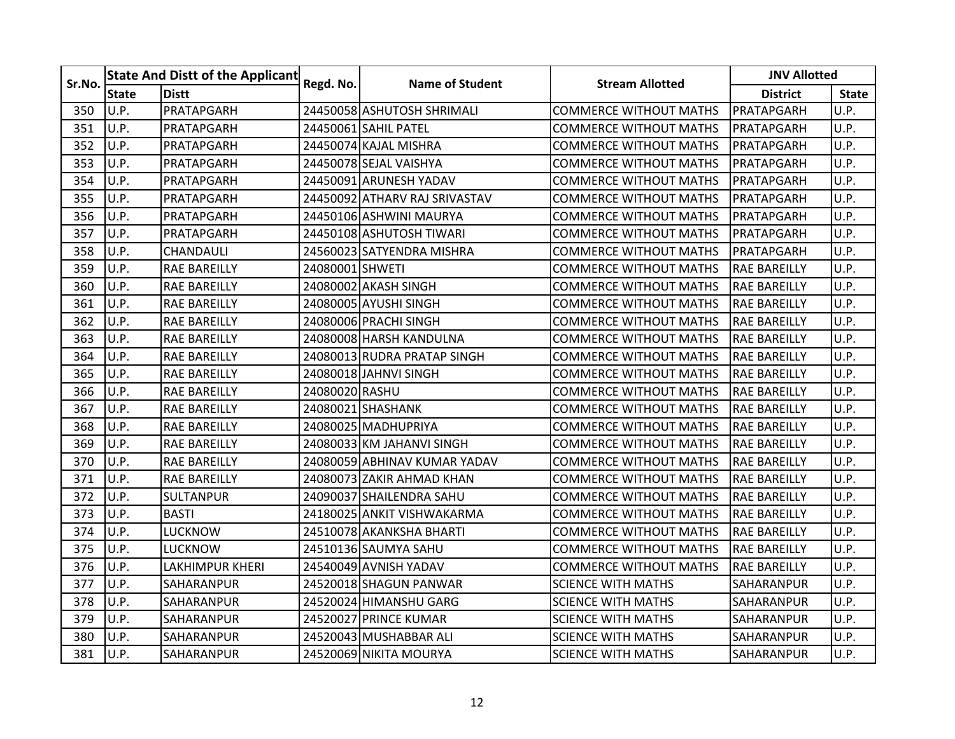| Sr.No. |              | <b>State And Distt of the Applicant</b> |                 | <b>Name of Student</b>        | <b>Stream Allotted</b>        | <b>JNV Allotted</b> |              |  |
|--------|--------------|-----------------------------------------|-----------------|-------------------------------|-------------------------------|---------------------|--------------|--|
|        | <b>State</b> | <b>Distt</b>                            | Regd. No.       |                               |                               | <b>District</b>     | <b>State</b> |  |
| 350    | U.P.         | PRATAPGARH                              |                 | 24450058 ASHUTOSH SHRIMALI    | <b>COMMERCE WITHOUT MATHS</b> | PRATAPGARH          | U.P.         |  |
| 351    | U.P.         | PRATAPGARH                              |                 | 24450061 SAHIL PATEL          | <b>COMMERCE WITHOUT MATHS</b> | PRATAPGARH          | U.P.         |  |
| 352    | U.P.         | PRATAPGARH                              |                 | 24450074 KAJAL MISHRA         | <b>COMMERCE WITHOUT MATHS</b> | PRATAPGARH          | U.P.         |  |
| 353    | U.P.         | PRATAPGARH                              |                 | 24450078 SEJAL VAISHYA        | <b>COMMERCE WITHOUT MATHS</b> | PRATAPGARH          | U.P.         |  |
| 354    | U.P.         | PRATAPGARH                              |                 | 24450091 ARUNESH YADAV        | <b>COMMERCE WITHOUT MATHS</b> | PRATAPGARH          | U.P.         |  |
| 355    | U.P.         | PRATAPGARH                              |                 | 24450092 ATHARV RAJ SRIVASTAV | <b>COMMERCE WITHOUT MATHS</b> | PRATAPGARH          | U.P.         |  |
| 356    | U.P.         | PRATAPGARH                              |                 | 24450106 ASHWINI MAURYA       | <b>COMMERCE WITHOUT MATHS</b> | PRATAPGARH          | U.P.         |  |
| 357    | U.P.         | PRATAPGARH                              |                 | 24450108 ASHUTOSH TIWARI      | <b>COMMERCE WITHOUT MATHS</b> | PRATAPGARH          | U.P.         |  |
| 358    | U.P.         | CHANDAULI                               |                 | 24560023 SATYENDRA MISHRA     | <b>COMMERCE WITHOUT MATHS</b> | PRATAPGARH          | U.P.         |  |
| 359    | U.P.         | <b>RAE BAREILLY</b>                     | 24080001 SHWETI |                               | <b>COMMERCE WITHOUT MATHS</b> | <b>RAE BAREILLY</b> | U.P.         |  |
| 360    | U.P.         | <b>RAE BAREILLY</b>                     |                 | 24080002 AKASH SINGH          | <b>COMMERCE WITHOUT MATHS</b> | <b>RAE BAREILLY</b> | U.P.         |  |
| 361    | U.P.         | <b>RAE BAREILLY</b>                     |                 | 24080005 AYUSHI SINGH         | <b>COMMERCE WITHOUT MATHS</b> | <b>RAE BAREILLY</b> | U.P.         |  |
| 362    | U.P.         | <b>RAE BAREILLY</b>                     |                 | 24080006 PRACHI SINGH         | <b>COMMERCE WITHOUT MATHS</b> | <b>RAE BAREILLY</b> | U.P.         |  |
| 363    | U.P.         | <b>RAE BAREILLY</b>                     |                 | 24080008 HARSH KANDULNA       | <b>COMMERCE WITHOUT MATHS</b> | <b>RAE BAREILLY</b> | U.P.         |  |
| 364    | U.P.         | <b>RAE BAREILLY</b>                     |                 | 24080013 RUDRA PRATAP SINGH   | <b>COMMERCE WITHOUT MATHS</b> | <b>RAE BAREILLY</b> | U.P.         |  |
| 365    | U.P.         | <b>RAE BAREILLY</b>                     |                 | 24080018 JAHNVI SINGH         | <b>COMMERCE WITHOUT MATHS</b> | <b>RAE BAREILLY</b> | U.P.         |  |
| 366    | U.P.         | <b>RAE BAREILLY</b>                     | 24080020 RASHU  |                               | COMMERCE WITHOUT MATHS        | <b>RAE BAREILLY</b> | U.P.         |  |
| 367    | U.P.         | <b>RAE BAREILLY</b>                     |                 | 24080021 SHASHANK             | <b>COMMERCE WITHOUT MATHS</b> | <b>RAE BAREILLY</b> | U.P.         |  |
| 368    | U.P.         | <b>RAE BAREILLY</b>                     |                 | 24080025 MADHUPRIYA           | <b>COMMERCE WITHOUT MATHS</b> | <b>RAE BAREILLY</b> | U.P.         |  |
| 369    | U.P.         | <b>RAE BAREILLY</b>                     |                 | 24080033 KM JAHANVI SINGH     | <b>COMMERCE WITHOUT MATHS</b> | <b>RAE BAREILLY</b> | U.P.         |  |
| 370    | U.P.         | <b>RAE BAREILLY</b>                     |                 | 24080059 ABHINAV KUMAR YADAV  | <b>COMMERCE WITHOUT MATHS</b> | <b>RAE BAREILLY</b> | U.P.         |  |
| 371    | U.P.         | <b>RAE BAREILLY</b>                     |                 | 24080073 ZAKIR AHMAD KHAN     | <b>COMMERCE WITHOUT MATHS</b> | <b>RAE BAREILLY</b> | U.P.         |  |
| 372    | U.P.         | <b>SULTANPUR</b>                        |                 | 24090037 SHAILENDRA SAHU      | <b>COMMERCE WITHOUT MATHS</b> | <b>RAE BAREILLY</b> | U.P.         |  |
| 373    | U.P.         | <b>BASTI</b>                            |                 | 24180025 ANKIT VISHWAKARMA    | <b>COMMERCE WITHOUT MATHS</b> | <b>RAE BAREILLY</b> | U.P.         |  |
| 374    | U.P.         | <b>LUCKNOW</b>                          |                 | 24510078 AKANKSHA BHARTI      | COMMERCE WITHOUT MATHS        | RAE BAREILLY        | U.P.         |  |
| 375    | U.P.         | <b>LUCKNOW</b>                          |                 | 24510136 SAUMYA SAHU          | <b>COMMERCE WITHOUT MATHS</b> | <b>RAE BAREILLY</b> | U.P.         |  |
| 376    | U.P.         | LAKHIMPUR KHERI                         |                 | 24540049 AVNISH YADAV         | <b>COMMERCE WITHOUT MATHS</b> | <b>RAE BAREILLY</b> | U.P.         |  |
| 377    | U.P.         | <b>SAHARANPUR</b>                       |                 | 24520018 SHAGUN PANWAR        | <b>SCIENCE WITH MATHS</b>     | SAHARANPUR          | U.P.         |  |
| 378    | U.P.         | <b>SAHARANPUR</b>                       |                 | 24520024 HIMANSHU GARG        | <b>SCIENCE WITH MATHS</b>     | SAHARANPUR          | U.P.         |  |
| 379    | U.P.         | SAHARANPUR                              |                 | 24520027 PRINCE KUMAR         | <b>SCIENCE WITH MATHS</b>     | SAHARANPUR          | U.P.         |  |
| 380    | U.P.         | SAHARANPUR                              |                 | 24520043 MUSHABBAR ALI        | <b>SCIENCE WITH MATHS</b>     | SAHARANPUR          | U.P.         |  |
| 381    | U.P.         | SAHARANPUR                              |                 | 24520069 NIKITA MOURYA        | <b>SCIENCE WITH MATHS</b>     | SAHARANPUR          | U.P.         |  |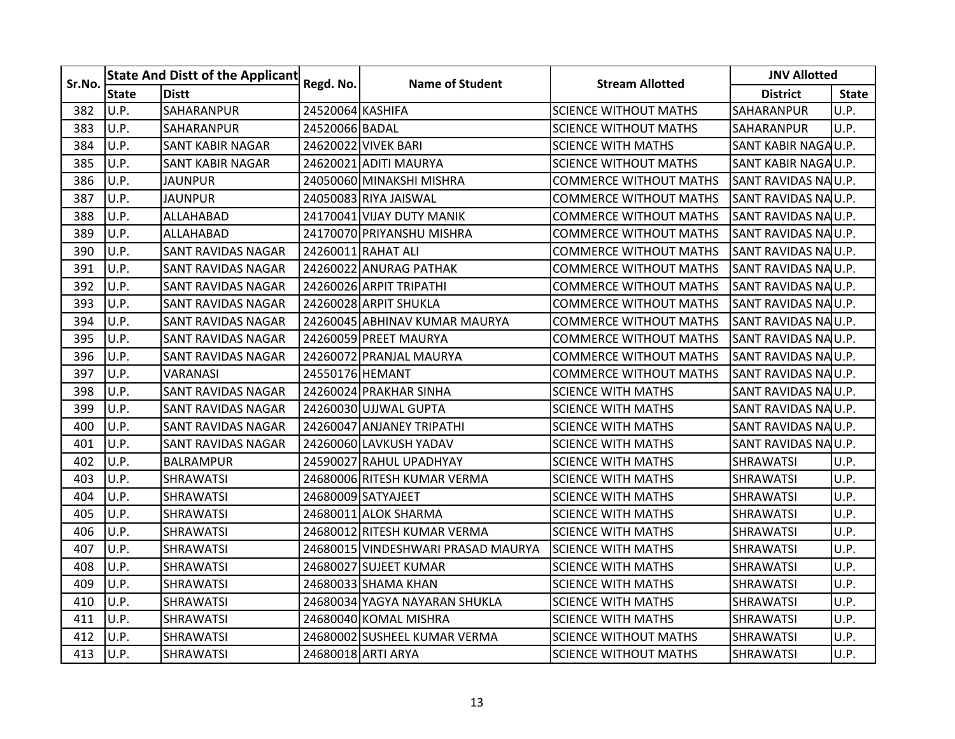| Sr.No. | <b>State And Distt of the Applicant</b> |                           |                  | <b>Name of Student</b>             | <b>Stream Allotted</b>        | <b>JNV Allotted</b>  |              |
|--------|-----------------------------------------|---------------------------|------------------|------------------------------------|-------------------------------|----------------------|--------------|
|        | <b>State</b>                            | <b>Distt</b>              | Regd. No.        |                                    |                               | <b>District</b>      | <b>State</b> |
| 382    | U.P.                                    | SAHARANPUR                | 24520064 KASHIFA |                                    | <b>SCIENCE WITHOUT MATHS</b>  | SAHARANPUR           | U.P.         |
| 383    | U.P.                                    | <b>SAHARANPUR</b>         | 24520066 BADAL   |                                    | <b>SCIENCE WITHOUT MATHS</b>  | SAHARANPUR           | U.P.         |
| 384    | U.P.                                    | SANT KABIR NAGAR          |                  | 24620022 VIVEK BARI                | <b>SCIENCE WITH MATHS</b>     | SANT KABIR NAGAU.P.  |              |
| 385    | U.P.                                    | <b>SANT KABIR NAGAR</b>   |                  | 24620021 ADITI MAURYA              | <b>SCIENCE WITHOUT MATHS</b>  | SANT KABIR NAGAU.P.  |              |
| 386    | U.P.                                    | <b>JAUNPUR</b>            |                  | 24050060 MINAKSHI MISHRA           | <b>COMMERCE WITHOUT MATHS</b> | SANT RAVIDAS NA U.P. |              |
| 387    | U.P.                                    | <b>JAUNPUR</b>            |                  | 24050083 RIYA JAISWAL              | <b>COMMERCE WITHOUT MATHS</b> | SANT RAVIDAS NAU.P.  |              |
| 388    | U.P.                                    | ALLAHABAD                 |                  | 24170041 VIJAY DUTY MANIK          | <b>COMMERCE WITHOUT MATHS</b> | SANT RAVIDAS NAU.P.  |              |
| 389    | U.P.                                    | <b>ALLAHABAD</b>          |                  | 24170070 PRIYANSHU MISHRA          | <b>COMMERCE WITHOUT MATHS</b> | SANT RAVIDAS NA U.P. |              |
| 390    | U.P.                                    | SANT RAVIDAS NAGAR        |                  | 24260011 RAHAT ALI                 | COMMERCE WITHOUT MATHS        | SANT RAVIDAS NAU.P.  |              |
| 391    | U.P.                                    | <b>SANT RAVIDAS NAGAR</b> |                  | 24260022 ANURAG PATHAK             | <b>COMMERCE WITHOUT MATHS</b> | SANT RAVIDAS NAU.P.  |              |
| 392    | U.P.                                    | <b>SANT RAVIDAS NAGAR</b> |                  | 24260026 ARPIT TRIPATHI            | <b>COMMERCE WITHOUT MATHS</b> | SANT RAVIDAS NAU.P.  |              |
| 393    | U.P.                                    | <b>SANT RAVIDAS NAGAR</b> |                  | 24260028 ARPIT SHUKLA              | <b>COMMERCE WITHOUT MATHS</b> | SANT RAVIDAS NAU.P.  |              |
| 394    | U.P.                                    | SANT RAVIDAS NAGAR        |                  | 24260045 ABHINAV KUMAR MAURYA      | <b>COMMERCE WITHOUT MATHS</b> | SANT RAVIDAS NAU.P.  |              |
| 395    | U.P.                                    | SANT RAVIDAS NAGAR        |                  | 24260059 PREET MAURYA              | COMMERCE WITHOUT MATHS        | SANT RAVIDAS NAU.P.  |              |
| 396    | U.P.                                    | <b>SANT RAVIDAS NAGAR</b> |                  | 24260072 PRANJAL MAURYA            | COMMERCE WITHOUT MATHS        | SANT RAVIDAS NAU.P.  |              |
| 397    | U.P.                                    | <b>VARANASI</b>           | 24550176 HEMANT  |                                    | <b>COMMERCE WITHOUT MATHS</b> | SANT RAVIDAS NAU.P.  |              |
| 398    | U.P.                                    | <b>SANT RAVIDAS NAGAR</b> |                  | 24260024 PRAKHAR SINHA             | <b>SCIENCE WITH MATHS</b>     | SANT RAVIDAS NAU.P.  |              |
| 399    | U.P.                                    | ISANT RAVIDAS NAGAR       |                  | 24260030 UJJWAL GUPTA              | SCIENCE WITH MATHS            | SANT RAVIDAS NA U.P. |              |
| 400    | U.P.                                    | SANT RAVIDAS NAGAR        |                  | 24260047 ANJANEY TRIPATHI          | <b>SCIENCE WITH MATHS</b>     | SANT RAVIDAS NAU.P.  |              |
| 401    | U.P.                                    | <b>SANT RAVIDAS NAGAR</b> |                  | 24260060 LAVKUSH YADAV             | <b>SCIENCE WITH MATHS</b>     | SANT RAVIDAS NAU.P.  |              |
| 402    | U.P.                                    | <b>BALRAMPUR</b>          |                  | 24590027 RAHUL UPADHYAY            | SCIENCE WITH MATHS            | SHRAWATSI            | U.P.         |
| 403    | U.P.                                    | <b>SHRAWATSI</b>          |                  | 24680006 RITESH KUMAR VERMA        | <b>SCIENCE WITH MATHS</b>     | <b>SHRAWATSI</b>     | U.P.         |
| 404    | U.P.                                    | <b>SHRAWATSI</b>          |                  | 24680009 SATYAJEET                 | <b>SCIENCE WITH MATHS</b>     | <b>SHRAWATSI</b>     | U.P.         |
| 405    | U.P.                                    | <b>SHRAWATSI</b>          |                  | 24680011 ALOK SHARMA               | <b>SCIENCE WITH MATHS</b>     | <b>SHRAWATSI</b>     | U.P.         |
| 406    | U.P.                                    | <b>SHRAWATSI</b>          |                  | 24680012 RITESH KUMAR VERMA        | <b>SCIENCE WITH MATHS</b>     | <b>SHRAWATSI</b>     | U.P.         |
| 407    | U.P.                                    | <b>SHRAWATSI</b>          |                  | 24680015 VINDESHWARI PRASAD MAURYA | <b>SCIENCE WITH MATHS</b>     | <b>SHRAWATSI</b>     | U.P.         |
| 408    | U.P.                                    | <b>SHRAWATSI</b>          |                  | 24680027 SUJEET KUMAR              | <b>SCIENCE WITH MATHS</b>     | SHRAWATSI            | U.P.         |
| 409    | U.P.                                    | <b>SHRAWATSI</b>          |                  | 246800331SHAMA KHAN                | SCIENCE WITH MATHS            | <b>SHRAWATSI</b>     | U.P.         |
| 410    | U.P.                                    | <b>SHRAWATSI</b>          |                  | 24680034 YAGYA NAYARAN SHUKLA      | <b>SCIENCE WITH MATHS</b>     | <b>SHRAWATSI</b>     | U.P.         |
| 411    | U.P.                                    | <b>SHRAWATSI</b>          |                  | 24680040 KOMAL MISHRA              | <b>SCIENCE WITH MATHS</b>     | <b>SHRAWATSI</b>     | U.P.         |
| 412    | U.P.                                    | <b>SHRAWATSI</b>          |                  | 24680002 SUSHEEL KUMAR VERMA       | <b>SCIENCE WITHOUT MATHS</b>  | SHRAWATSI            | U.P.         |
| 413    | U.P.                                    | <b>SHRAWATSI</b>          |                  | 24680018 ARTI ARYA                 | <b>SCIENCE WITHOUT MATHS</b>  | SHRAWATSI            | U.P.         |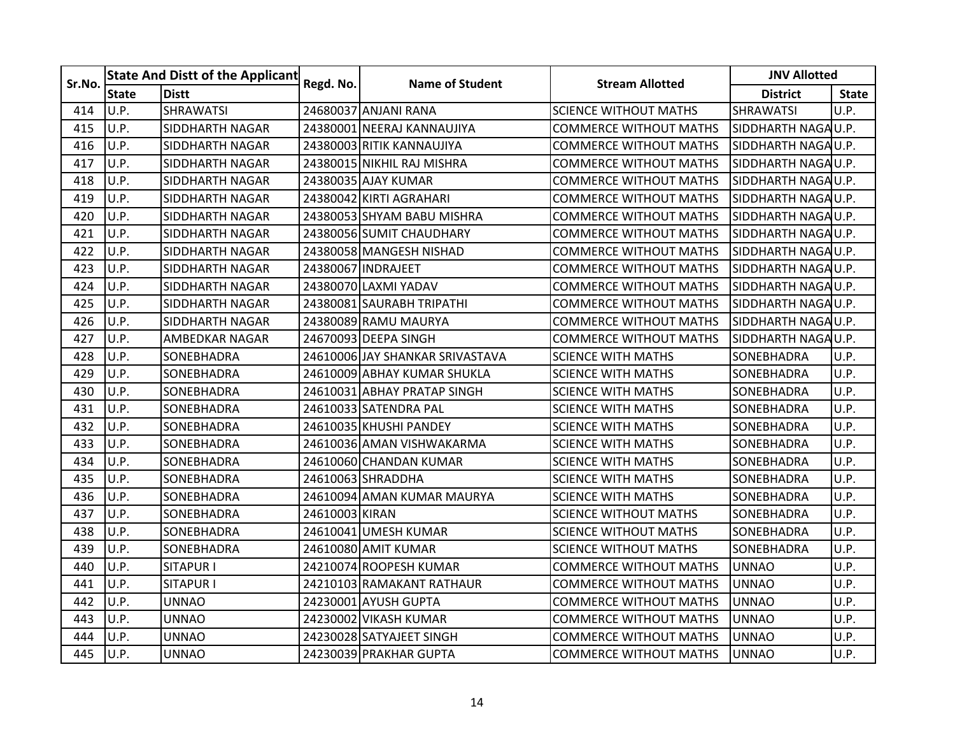| Sr.No. | <b>State And Distt of the Applicant</b> |                        |                | <b>Name of Student</b>          | <b>Stream Allotted</b>        | <b>JNV Allotted</b> |              |
|--------|-----------------------------------------|------------------------|----------------|---------------------------------|-------------------------------|---------------------|--------------|
|        | <b>State</b>                            | <b>Distt</b>           | Regd. No.      |                                 |                               | <b>District</b>     | <b>State</b> |
| 414    | U.P.                                    | <b>SHRAWATSI</b>       |                | 24680037 ANJANI RANA            | <b>SCIENCE WITHOUT MATHS</b>  | <b>SHRAWATSI</b>    | U.P.         |
| 415    | U.P.                                    | <b>SIDDHARTH NAGAR</b> |                | 24380001 NEERAJ KANNAUJIYA      | <b>COMMERCE WITHOUT MATHS</b> | SIDDHARTH NAGAU.P.  |              |
| 416    | U.P.                                    | SIDDHARTH NAGAR        |                | 24380003 RITIK KANNAUJIYA       | <b>COMMERCE WITHOUT MATHS</b> | SIDDHARTH NAGAU.P.  |              |
| 417    | U.P.                                    | <b>SIDDHARTH NAGAR</b> |                | 24380015 NIKHIL RAJ MISHRA      | <b>COMMERCE WITHOUT MATHS</b> | SIDDHARTH NAGAU.P.  |              |
| 418    | U.P.                                    | SIDDHARTH NAGAR        |                | 24380035 AJAY KUMAR             | <b>COMMERCE WITHOUT MATHS</b> | SIDDHARTH NAGAU.P.  |              |
| 419    | U.P.                                    | SIDDHARTH NAGAR        |                | 24380042 KIRTI AGRAHARI         | <b>COMMERCE WITHOUT MATHS</b> | SIDDHARTH NAGAU.P.  |              |
| 420    | U.P.                                    | <b>SIDDHARTH NAGAR</b> |                | 24380053 SHYAM BABU MISHRA      | <b>COMMERCE WITHOUT MATHS</b> | SIDDHARTH NAGA U.P. |              |
| 421    | U.P.                                    | SIDDHARTH NAGAR        |                | 24380056 SUMIT CHAUDHARY        | <b>COMMERCE WITHOUT MATHS</b> | SIDDHARTH NAGA U.P. |              |
| 422    | U.P.                                    | SIDDHARTH NAGAR        |                | 24380058 MANGESH NISHAD         | <b>COMMERCE WITHOUT MATHS</b> | SIDDHARTH NAGAU.P.  |              |
| 423    | U.P.                                    | <b>SIDDHARTH NAGAR</b> |                | 24380067 INDRAJEET              | <b>COMMERCE WITHOUT MATHS</b> | SIDDHARTH NAGAU.P.  |              |
| 424    | U.P.                                    | SIDDHARTH NAGAR        |                | 24380070 LAXMI YADAV            | <b>COMMERCE WITHOUT MATHS</b> | SIDDHARTH NAGA U.P. |              |
| 425    | U.P.                                    | <b>SIDDHARTH NAGAR</b> |                | 24380081 SAURABH TRIPATHI       | <b>COMMERCE WITHOUT MATHS</b> | SIDDHARTH NAGAU.P.  |              |
| 426    | U.P.                                    | SIDDHARTH NAGAR        |                | 24380089 RAMU MAURYA            | <b>COMMERCE WITHOUT MATHS</b> | SIDDHARTH NAGA U.P. |              |
| 427    | U.P.                                    | AMBEDKAR NAGAR         |                | 24670093 DEEPA SINGH            | <b>COMMERCE WITHOUT MATHS</b> | SIDDHARTH NAGAU.P.  |              |
| 428    | U.P.                                    | SONEBHADRA             |                | 24610006 JAY SHANKAR SRIVASTAVA | <b>SCIENCE WITH MATHS</b>     | SONEBHADRA          | U.P.         |
| 429    | U.P.                                    | SONEBHADRA             |                | 24610009 ABHAY KUMAR SHUKLA     | <b>SCIENCE WITH MATHS</b>     | SONEBHADRA          | U.P.         |
| 430    | U.P.                                    | SONEBHADRA             |                | 24610031 ABHAY PRATAP SINGH     | <b>SCIENCE WITH MATHS</b>     | SONEBHADRA          | U.P.         |
| 431    | U.P.                                    | SONEBHADRA             |                | 24610033 SATENDRA PAL           | <b>SCIENCE WITH MATHS</b>     | SONEBHADRA          | U.P.         |
| 432    | U.P.                                    | SONEBHADRA             |                | 24610035 KHUSHI PANDEY          | <b>SCIENCE WITH MATHS</b>     | SONEBHADRA          | U.P.         |
| 433    | U.P.                                    | SONEBHADRA             |                | 24610036 AMAN VISHWAKARMA       | <b>SCIENCE WITH MATHS</b>     | SONEBHADRA          | U.P.         |
| 434    | U.P.                                    | SONEBHADRA             |                | 24610060 CHANDAN KUMAR          | <b>SCIENCE WITH MATHS</b>     | SONEBHADRA          | U.P.         |
| 435    | U.P.                                    | SONEBHADRA             |                | 24610063 SHRADDHA               | <b>SCIENCE WITH MATHS</b>     | SONEBHADRA          | U.P.         |
| 436    | U.P.                                    | SONEBHADRA             |                | 24610094 AMAN KUMAR MAURYA      | <b>SCIENCE WITH MATHS</b>     | SONEBHADRA          | U.P.         |
| 437    | U.P.                                    | SONEBHADRA             | 24610003 KIRAN |                                 | <b>SCIENCE WITHOUT MATHS</b>  | SONEBHADRA          | U.P.         |
| 438    | U.P.                                    | SONEBHADRA             |                | 24610041 UMESH KUMAR            | SCIENCE WITHOUT MATHS         | SONEBHADRA          | U.P.         |
| 439    | U.P.                                    | SONEBHADRA             |                | 24610080 AMIT KUMAR             | <b>SCIENCE WITHOUT MATHS</b>  | SONEBHADRA          | U.P.         |
| 440    | U.P.                                    | <b>SITAPUR I</b>       |                | 24210074 ROOPESH KUMAR          | <b>COMMERCE WITHOUT MATHS</b> | <b>UNNAO</b>        | U.P.         |
| 441    | U.P.                                    | <b>SITAPUR I</b>       |                | 24210103 RAMAKANT RATHAUR       | <b>COMMERCE WITHOUT MATHS</b> | <b>UNNAO</b>        | U.P.         |
| 442    | U.P.                                    | <b>UNNAO</b>           |                | 24230001 AYUSH GUPTA            | <b>COMMERCE WITHOUT MATHS</b> | <b>UNNAO</b>        | U.P.         |
| 443    | U.P.                                    | <b>UNNAO</b>           |                | 24230002 VIKASH KUMAR           | <b>COMMERCE WITHOUT MATHS</b> | <b>UNNAO</b>        | U.P.         |
| 444    | U.P.                                    | <b>UNNAO</b>           |                | 24230028 SATYAJEET SINGH        | <b>COMMERCE WITHOUT MATHS</b> | <b>UNNAO</b>        | U.P.         |
| 445    | U.P.                                    | <b>UNNAO</b>           |                | 24230039 PRAKHAR GUPTA          | <b>COMMERCE WITHOUT MATHS</b> | <b>UNNAO</b>        | U.P.         |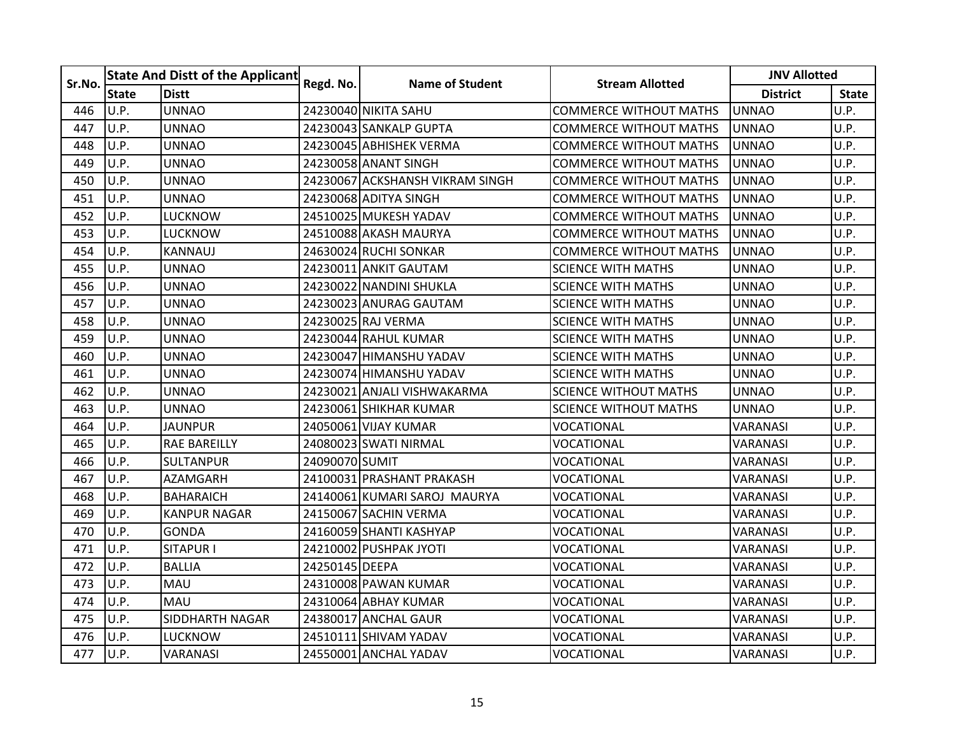| Sr.No. | <b>State And Distt of the Applicant</b> |                     |                |                                 |                               | <b>JNV Allotted</b> |              |
|--------|-----------------------------------------|---------------------|----------------|---------------------------------|-------------------------------|---------------------|--------------|
|        | <b>State</b>                            | <b>Distt</b>        | Regd. No.      | <b>Name of Student</b>          | <b>Stream Allotted</b>        | <b>District</b>     | <b>State</b> |
| 446    | U.P.                                    | <b>UNNAO</b>        |                | 24230040 NIKITA SAHU            | <b>COMMERCE WITHOUT MATHS</b> | <b>UNNAO</b>        | U.P.         |
| 447    | U.P.                                    | <b>UNNAO</b>        |                | 24230043 SANKALP GUPTA          | <b>COMMERCE WITHOUT MATHS</b> | <b>UNNAO</b>        | U.P.         |
| 448    | U.P.                                    | <b>UNNAO</b>        |                | 24230045 ABHISHEK VERMA         | <b>COMMERCE WITHOUT MATHS</b> | <b>UNNAO</b>        | U.P.         |
| 449    | U.P.                                    | <b>UNNAO</b>        |                | 24230058 ANANT SINGH            | <b>COMMERCE WITHOUT MATHS</b> | <b>UNNAO</b>        | U.P.         |
| 450    | U.P.                                    | <b>UNNAO</b>        |                | 24230067 ACKSHANSH VIKRAM SINGH | <b>COMMERCE WITHOUT MATHS</b> | <b>UNNAO</b>        | U.P.         |
| 451    | U.P.                                    | <b>UNNAO</b>        |                | 24230068 ADITYA SINGH           | <b>COMMERCE WITHOUT MATHS</b> | <b>UNNAO</b>        | U.P.         |
| 452    | U.P.                                    | <b>LUCKNOW</b>      |                | 24510025 MUKESH YADAV           | <b>COMMERCE WITHOUT MATHS</b> | <b>UNNAO</b>        | U.P.         |
| 453    | U.P.                                    | <b>LUCKNOW</b>      |                | 24510088 AKASH MAURYA           | <b>COMMERCE WITHOUT MATHS</b> | <b>UNNAO</b>        | U.P.         |
| 454    | U.P.                                    | KANNAUJ             |                | 24630024 RUCHI SONKAR           | COMMERCE WITHOUT MATHS        | UNNAO               | U.P.         |
| 455    | U.P.                                    | <b>UNNAO</b>        |                | 24230011 ANKIT GAUTAM           | <b>SCIENCE WITH MATHS</b>     | <b>UNNAO</b>        | U.P.         |
| 456    | U.P.                                    | <b>UNNAO</b>        |                | 24230022 NANDINI SHUKLA         | <b>SCIENCE WITH MATHS</b>     | <b>UNNAO</b>        | U.P.         |
| 457    | U.P.                                    | <b>UNNAO</b>        |                | 24230023 ANURAG GAUTAM          | <b>SCIENCE WITH MATHS</b>     | <b>UNNAO</b>        | U.P.         |
| 458    | U.P.                                    | <b>UNNAO</b>        |                | 24230025 RAJ VERMA              | <b>SCIENCE WITH MATHS</b>     | <b>UNNAO</b>        | U.P.         |
| 459    | U.P.                                    | <b>UNNAO</b>        |                | 24230044 RAHUL KUMAR            | <b>SCIENCE WITH MATHS</b>     | <b>UNNAO</b>        | U.P.         |
| 460    | U.P.                                    | <b>UNNAO</b>        |                | 24230047 HIMANSHU YADAV         | <b>SCIENCE WITH MATHS</b>     | <b>UNNAO</b>        | U.P.         |
| 461    | U.P.                                    | <b>UNNAO</b>        |                | 24230074 HIMANSHU YADAV         | <b>SCIENCE WITH MATHS</b>     | <b>UNNAO</b>        | U.P.         |
| 462    | U.P.                                    | <b>UNNAO</b>        |                | 24230021 ANJALI VISHWAKARMA     | <b>SCIENCE WITHOUT MATHS</b>  | <b>UNNAO</b>        | U.P.         |
| 463    | U.P.                                    | <b>UNNAO</b>        |                | 24230061 SHIKHAR KUMAR          | <b>SCIENCE WITHOUT MATHS</b>  | <b>UNNAO</b>        | U.P.         |
| 464    | U.P.                                    | <b>JAUNPUR</b>      |                | 24050061 VIJAY KUMAR            | <b>VOCATIONAL</b>             | VARANASI            | U.P.         |
| 465    | U.P.                                    | <b>RAE BAREILLY</b> |                | 24080023 SWATI NIRMAL           | VOCATIONAL                    | VARANASI            | U.P.         |
| 466    | U.P.                                    | <b>SULTANPUR</b>    | 24090070 SUMIT |                                 | VOCATIONAL                    | <b>VARANASI</b>     | U.P.         |
| 467    | U.P.                                    | AZAMGARH            |                | 24100031 PRASHANT PRAKASH       | VOCATIONAL                    | VARANASI            | U.P.         |
| 468    | U.P.                                    | <b>BAHARAICH</b>    |                | 24140061 KUMARI SAROJ MAURYA    | VOCATIONAL                    | VARANASI            | U.P.         |
| 469    | U.P.                                    | <b>KANPUR NAGAR</b> |                | 24150067 SACHIN VERMA           | VOCATIONAL                    | VARANASI            | U.P.         |
| 470    | U.P.                                    | GONDA               |                | 24160059ISHANTI KASHYAP         | VOCATIONAL                    | <b>VARANASI</b>     | U.P.         |
| 471    | U.P.                                    | <b>SITAPUR I</b>    |                | 24210002 PUSHPAK JYOTI          | VOCATIONAL                    | <b>VARANASI</b>     | U.P.         |
| 472    | U.P.                                    | <b>BALLIA</b>       | 24250145 DEEPA |                                 | VOCATIONAL                    | VARANASI            | U.P.         |
| 473    | U.P.                                    | <b>MAU</b>          |                | 24310008 PAWAN KUMAR            | VOCATIONAL                    | <b>VARANASI</b>     | U.P.         |
| 474    | U.P.                                    | MAU                 |                | 24310064 ABHAY KUMAR            | VOCATIONAL                    | VARANASI            | U.P.         |
| 475    | U.P.                                    | SIDDHARTH NAGAR     |                | 24380017 ANCHAL GAUR            | VOCATIONAL                    | <b>VARANASI</b>     | U.P.         |
| 476    | U.P.                                    | <b>LUCKNOW</b>      |                | 24510111 SHIVAM YADAV           | VOCATIONAL                    | VARANASI            | U.P.         |
| 477    | U.P.                                    | <b>VARANASI</b>     |                | 24550001 ANCHAL YADAV           | VOCATIONAL                    | VARANASI            | U.P.         |